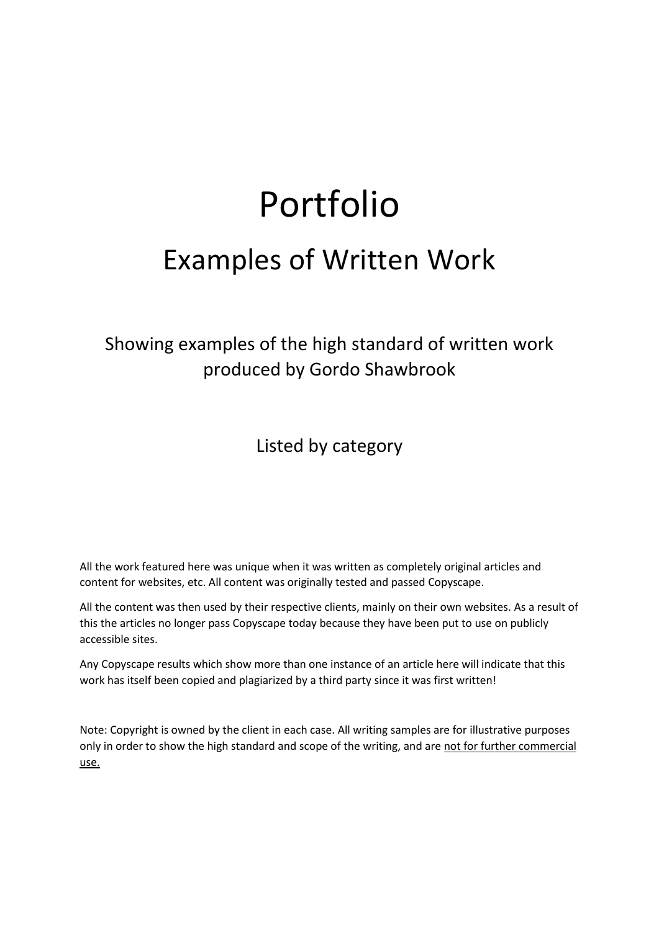# Portfolio

## Examples of Written Work

Showing examples of the high standard of written work produced by Gordo Shawbrook

Listed by category

All the work featured here was unique when it was written as completely original articles and content for websites, etc. All content was originally tested and passed Copyscape.

All the content was then used by their respective clients, mainly on their own websites. As a result of this the articles no longer pass Copyscape today because they have been put to use on publicly accessible sites.

Any Copyscape results which show more than one instance of an article here will indicate that this work has itself been copied and plagiarized by a third party since it was first written!

Note: Copyright is owned by the client in each case. All writing samples are for illustrative purposes only in order to show the high standard and scope of the writing, and are not for further commercial use.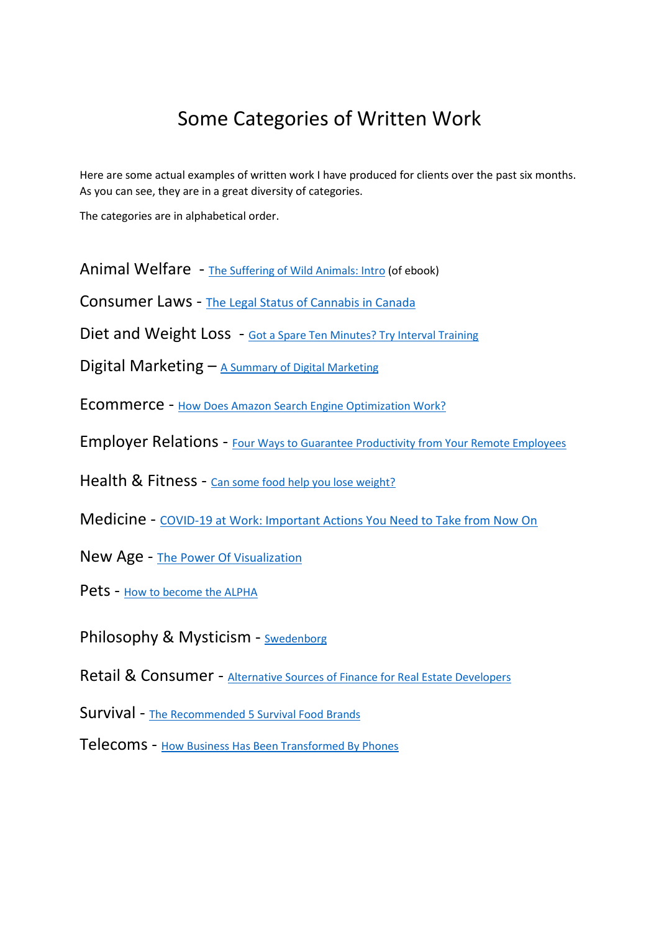## Some Categories of Written Work

Here are some actual examples of written work I have produced for clients over the past six months. As you can see, they are in a great diversity of categories.

The categories are in alphabetical order.

Animal Welfare - [The Suffering of Wild Animals: Intro](#page-2-0) (of ebook)

Consumer Laws - [The Legal Status of Cannabis in Canada](#page-3-0)

Diet and Weight Loss - [Got a Spare Ten Minutes? Try Interval Training](#page-5-0)

Digital Marketing  $-$  [A Summary of Digital Marketing](#page-7-0)

Ecommerce - [How Does Amazon Search Engine Optimization Work?](#page-11-0)

Employer Relations - [Four Ways to Guarantee Productivity from Your Remote Employees](#page-16-0)

Health & Fitness - [Can some food help you lose weight?](#page-18-0)

Medicine - [COVID-19 at Work: Important Actions You Need to Take from Now On](#page-21-0)

- New Age [The Power Of Visualization](#page-26-0)
- Pets [How to become the ALPHA](#page-29-0)

Philosophy & Mysticism - [Swedenborg](#page-33-0)

Retail & Consumer - [Alternative Sources of Finance for Real Estate Developers](#page-34-0)

Survival - [The Recommended 5 Survival Food Brands](#page-37-0)

Telecoms - [How Business Has Been Transformed By Phones](#page-39-0)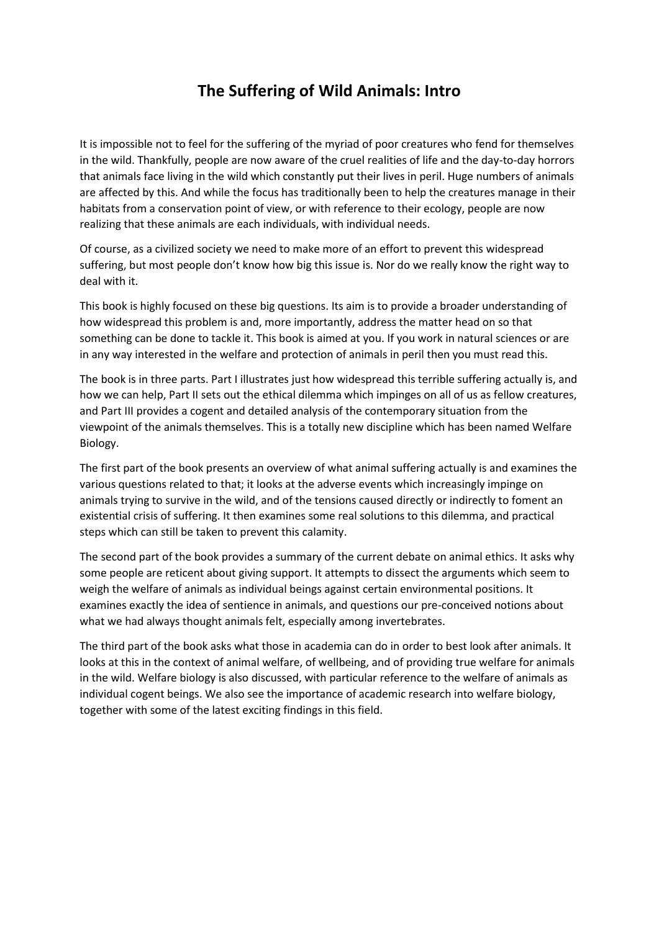## **The Suffering of Wild Animals: Intro**

<span id="page-2-0"></span>It is impossible not to feel for the suffering of the myriad of poor creatures who fend for themselves in the wild. Thankfully, people are now aware of the cruel realities of life and the day-to-day horrors that animals face living in the wild which constantly put their lives in peril. Huge numbers of animals are affected by this. And while the focus has traditionally been to help the creatures manage in their habitats from a conservation point of view, or with reference to their ecology, people are now realizing that these animals are each individuals, with individual needs.

Of course, as a civilized society we need to make more of an effort to prevent this widespread suffering, but most people don't know how big this issue is. Nor do we really know the right way to deal with it.

This book is highly focused on these big questions. Its aim is to provide a broader understanding of how widespread this problem is and, more importantly, address the matter head on so that something can be done to tackle it. This book is aimed at you. If you work in natural sciences or are in any way interested in the welfare and protection of animals in peril then you must read this.

The book is in three parts. Part I illustrates just how widespread this terrible suffering actually is, and how we can help, Part II sets out the ethical dilemma which impinges on all of us as fellow creatures, and Part III provides a cogent and detailed analysis of the contemporary situation from the viewpoint of the animals themselves. This is a totally new discipline which has been named Welfare Biology.

The first part of the book presents an overview of what animal suffering actually is and examines the various questions related to that; it looks at the adverse events which increasingly impinge on animals trying to survive in the wild, and of the tensions caused directly or indirectly to foment an existential crisis of suffering. It then examines some real solutions to this dilemma, and practical steps which can still be taken to prevent this calamity.

The second part of the book provides a summary of the current debate on animal ethics. It asks why some people are reticent about giving support. It attempts to dissect the arguments which seem to weigh the welfare of animals as individual beings against certain environmental positions. It examines exactly the idea of sentience in animals, and questions our pre-conceived notions about what we had always thought animals felt, especially among invertebrates.

The third part of the book asks what those in academia can do in order to best look after animals. It looks at this in the context of animal welfare, of wellbeing, and of providing true welfare for animals in the wild. Welfare biology is also discussed, with particular reference to the welfare of animals as individual cogent beings. We also see the importance of academic research into welfare biology, together with some of the latest exciting findings in this field.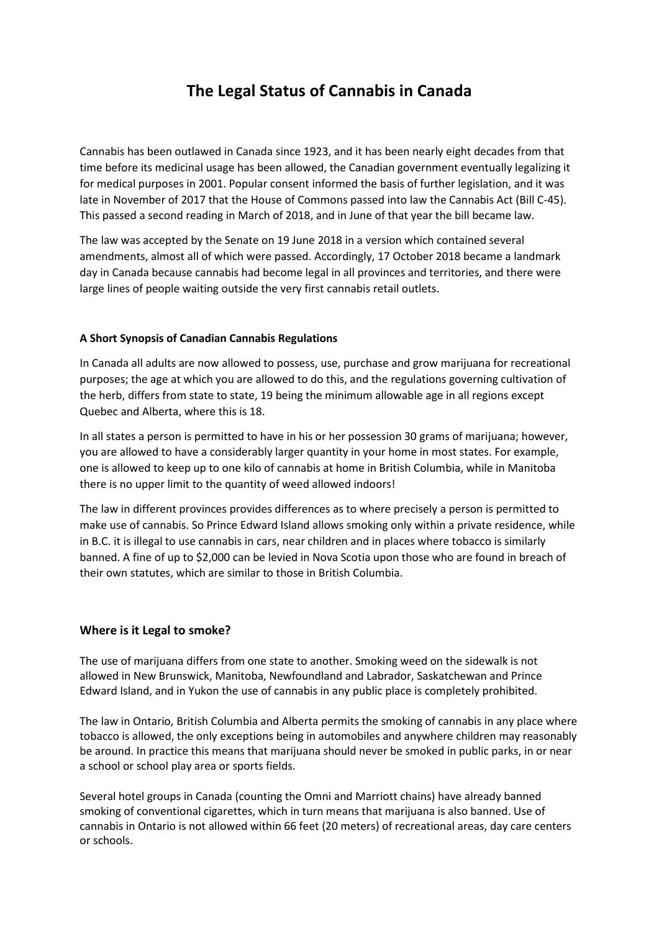## **The Legal Status of Cannabis in Canada**

<span id="page-3-0"></span>Cannabis has been outlawed in Canada since 1923, and it has been nearly eight decades from that time before its medicinal usage has been allowed, the Canadian government eventually legalizing it for medical purposes in 2001. Popular consent informed the basis of further legislation, and it was late in November of 2017 that the House of Commons passed into law the Cannabis Act (Bill C-45). This passed a second reading in March of 2018, and in June of that year the bill became law.

The law was accepted by the Senate on 19 June 2018 in a version which contained several amendments, almost all of which were passed. Accordingly, 17 October 2018 became a landmark day in Canada because cannabis had become legal in all provinces and territories, and there were large lines of people waiting outside the very first cannabis retail outlets.

#### **A Short Synopsis of Canadian Cannabis Regulations**

In Canada all adults are now allowed to possess, use, purchase and grow marijuana for recreational purposes; the age at which you are allowed to do this, and the regulations governing cultivation of the herb, differs from state to state, 19 being the minimum allowable age in all regions except Quebec and Alberta, where this is 18.

In all states a person is permitted to have in his or her possession 30 grams of marijuana; however, you are allowed to have a considerably larger quantity in your home in most states. For example, one is allowed to keep up to one kilo of cannabis at home in British Columbia, while in Manitoba there is no upper limit to the quantity of weed allowed indoors!

The law in different provinces provides differences as to where precisely a person is permitted to make use of cannabis. So Prince Edward Island allows smoking only within a private residence, while in B.C. it is illegal to use cannabis in cars, near children and in places where tobacco is similarly banned. A fine of up to \$2,000 can be levied in Nova Scotia upon those who are found in breach of their own statutes, which are similar to those in British Columbia.

#### **Where is it Legal to smoke?**

The use of marijuana differs from one state to another. Smoking weed on the sidewalk is not allowed in New Brunswick, Manitoba, Newfoundland and Labrador, Saskatchewan and Prince Edward Island, and in Yukon the use of cannabis in any public place is completely prohibited.

The law in Ontario, British Columbia and Alberta permits the smoking of cannabis in any place where tobacco is allowed, the only exceptions being in automobiles and anywhere children may reasonably be around. In practice this means that marijuana should never be smoked in public parks, in or near a school or school play area or sports fields.

Several hotel groups in Canada (counting the Omni and Marriott chains) have already banned smoking of conventional cigarettes, which in turn means that marijuana is also banned. Use of cannabis in Ontario is not allowed within 66 feet (20 meters) of recreational areas, day care centers or schools.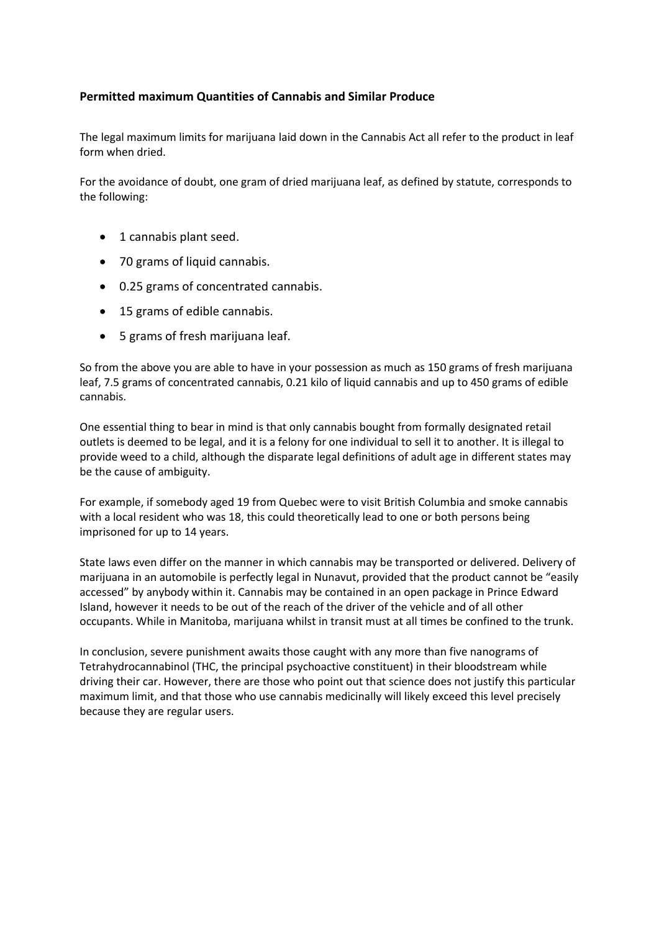#### **Permitted maximum Quantities of Cannabis and Similar Produce**

The legal maximum limits for marijuana laid down in the Cannabis Act all refer to the product in leaf form when dried.

For the avoidance of doubt, one gram of dried marijuana leaf, as defined by statute, corresponds to the following:

- 1 cannabis plant seed.
- 70 grams of liquid cannabis.
- 0.25 grams of concentrated cannabis.
- 15 grams of edible cannabis.
- 5 grams of fresh marijuana leaf.

So from the above you are able to have in your possession as much as 150 grams of fresh marijuana leaf, 7.5 grams of concentrated cannabis, 0.21 kilo of liquid cannabis and up to 450 grams of edible cannabis.

One essential thing to bear in mind is that only cannabis bought from formally designated retail outlets is deemed to be legal, and it is a felony for one individual to sell it to another. It is illegal to provide weed to a child, although the disparate legal definitions of adult age in different states may be the cause of ambiguity.

For example, if somebody aged 19 from Quebec were to visit British Columbia and smoke cannabis with a local resident who was 18, this could theoretically lead to one or both persons being imprisoned for up to 14 years.

State laws even differ on the manner in which cannabis may be transported or delivered. Delivery of marijuana in an automobile is perfectly legal in Nunavut, provided that the product cannot be "easily accessed" by anybody within it. Cannabis may be contained in an open package in Prince Edward Island, however it needs to be out of the reach of the driver of the vehicle and of all other occupants. While in Manitoba, marijuana whilst in transit must at all times be confined to the trunk.

In conclusion, severe punishment awaits those caught with any more than five nanograms of Tetrahydrocannabinol (THC, the principal psychoactive constituent) in their bloodstream while driving their car. However, there are those who point out that science does not justify this particular maximum limit, and that those who use cannabis medicinally will likely exceed this level precisely because they are regular users.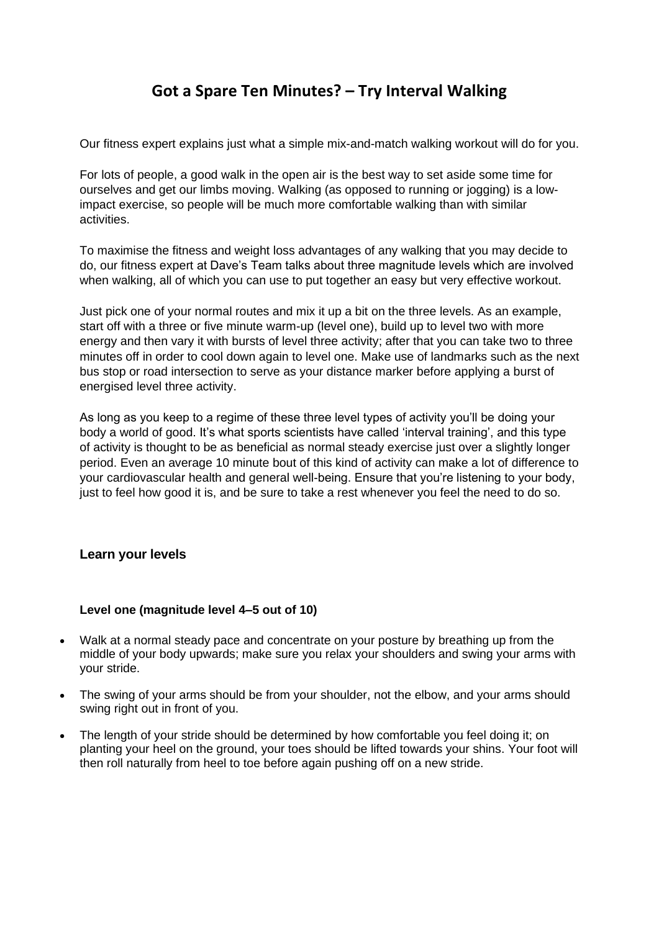## **Got a Spare Ten Minutes? – Try Interval Walking**

<span id="page-5-0"></span>Our fitness expert explains just what a simple mix-and-match walking workout will do for you.

For lots of people, a good walk in the open air is the best way to set aside some time for ourselves and get our limbs moving. Walking (as opposed to running or jogging) is a lowimpact exercise, so people will be much more comfortable walking than with similar activities.

To maximise the fitness and weight loss advantages of any walking that you may decide to do, our fitness expert at Dave's Team talks about three magnitude levels which are involved when walking, all of which you can use to put together an easy but very effective workout.

Just pick one of your normal routes and mix it up a bit on the three levels. As an example, start off with a three or five minute warm-up (level one), build up to level two with more energy and then vary it with bursts of level three activity; after that you can take two to three minutes off in order to cool down again to level one. Make use of landmarks such as the next bus stop or road intersection to serve as your distance marker before applying a burst of energised level three activity.

As long as you keep to a regime of these three level types of activity you'll be doing your body a world of good. It's what sports scientists have called 'interval training', and this type of activity is thought to be as beneficial as normal steady exercise just over a slightly longer period. Even an average 10 minute bout of this kind of activity can make a lot of difference to your cardiovascular health and general well-being. Ensure that you're listening to your body, just to feel how good it is, and be sure to take a rest whenever you feel the need to do so.

#### **Learn your levels**

#### **Level one (magnitude level 4–5 out of 10)**

- Walk at a normal steady pace and concentrate on your posture by breathing up from the middle of your body upwards; make sure you relax your shoulders and swing your arms with your stride.
- The swing of your arms should be from your shoulder, not the elbow, and your arms should swing right out in front of you.
- The length of your stride should be determined by how comfortable you feel doing it; on planting your heel on the ground, your toes should be lifted towards your shins. Your foot will then roll naturally from heel to toe before again pushing off on a new stride.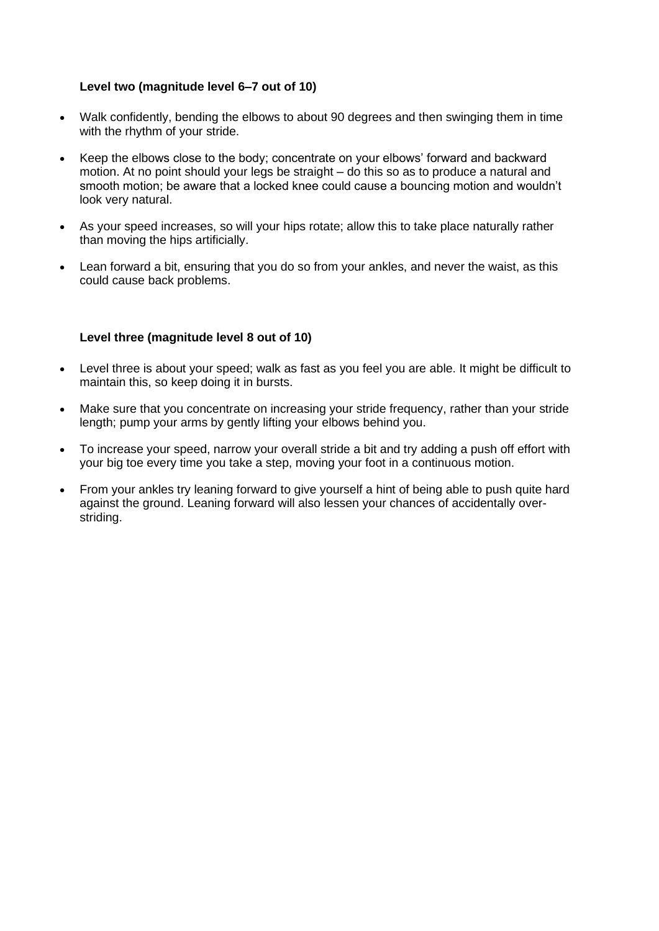#### **Level two (magnitude level 6–7 out of 10)**

- Walk confidently, bending the elbows to about 90 degrees and then swinging them in time with the rhythm of your stride.
- Keep the elbows close to the body; concentrate on your elbows' forward and backward motion. At no point should your legs be straight – do this so as to produce a natural and smooth motion; be aware that a locked knee could cause a bouncing motion and wouldn't look very natural.
- As your speed increases, so will your hips rotate; allow this to take place naturally rather than moving the hips artificially.
- Lean forward a bit, ensuring that you do so from your ankles, and never the waist, as this could cause back problems.

#### **Level three (magnitude level 8 out of 10)**

- Level three is about your speed; walk as fast as you feel you are able. It might be difficult to maintain this, so keep doing it in bursts.
- Make sure that you concentrate on increasing your stride frequency, rather than your stride length; pump your arms by gently lifting your elbows behind you.
- To increase your speed, narrow your overall stride a bit and try adding a push off effort with your big toe every time you take a step, moving your foot in a continuous motion.
- From your ankles try leaning forward to give yourself a hint of being able to push quite hard against the ground. Leaning forward will also lessen your chances of accidentally overstriding.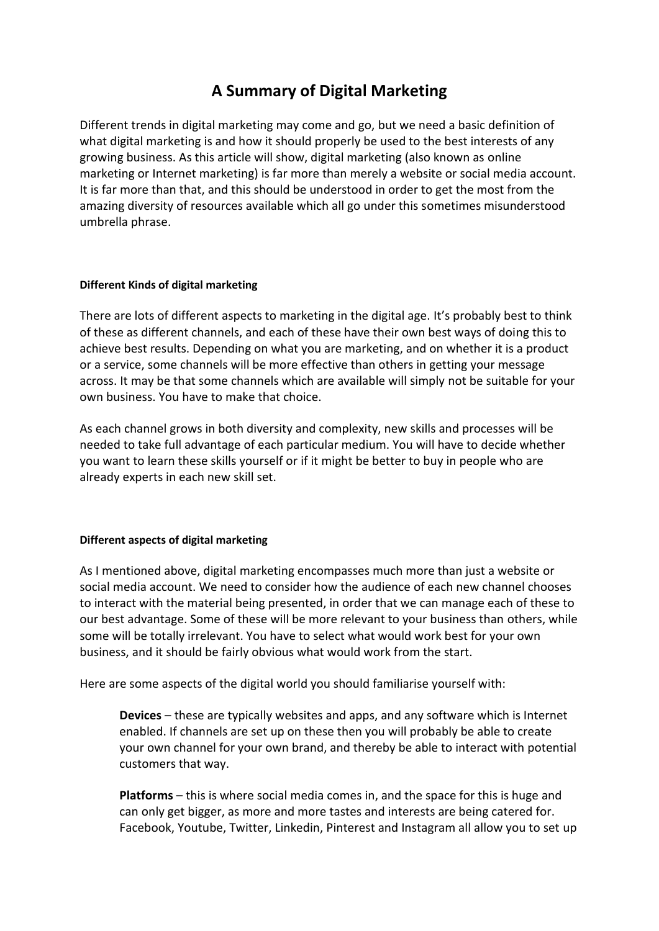## **A Summary of Digital Marketing**

<span id="page-7-0"></span>Different trends in digital marketing may come and go, but we need a basic definition of what digital marketing is and how it should properly be used to the best interests of any growing business. As this article will show, digital marketing (also known as online marketing or Internet marketing) is far more than merely a website or social media account. It is far more than that, and this should be understood in order to get the most from the amazing diversity of resources available which all go under this sometimes misunderstood umbrella phrase.

#### **Different Kinds of digital marketing**

There are lots of different aspects to marketing in the digital age. It's probably best to think of these as different channels, and each of these have their own best ways of doing this to achieve best results. Depending on what you are marketing, and on whether it is a product or a service, some channels will be more effective than others in getting your message across. It may be that some channels which are available will simply not be suitable for your own business. You have to make that choice.

As each channel grows in both diversity and complexity, new skills and processes will be needed to take full advantage of each particular medium. You will have to decide whether you want to learn these skills yourself or if it might be better to buy in people who are already experts in each new skill set.

#### **Different aspects of digital marketing**

As I mentioned above, digital marketing encompasses much more than just a website or social media account. We need to consider how the audience of each new channel chooses to interact with the material being presented, in order that we can manage each of these to our best advantage. Some of these will be more relevant to your business than others, while some will be totally irrelevant. You have to select what would work best for your own business, and it should be fairly obvious what would work from the start.

Here are some aspects of the digital world you should familiarise yourself with:

**Devices** – these are typically websites and apps, and any software which is Internet enabled. If channels are set up on these then you will probably be able to create your own channel for your own brand, and thereby be able to interact with potential customers that way.

**Platforms** – this is where social media comes in, and the space for this is huge and can only get bigger, as more and more tastes and interests are being catered for. Facebook, Youtube, Twitter, Linkedin, Pinterest and Instagram all allow you to set up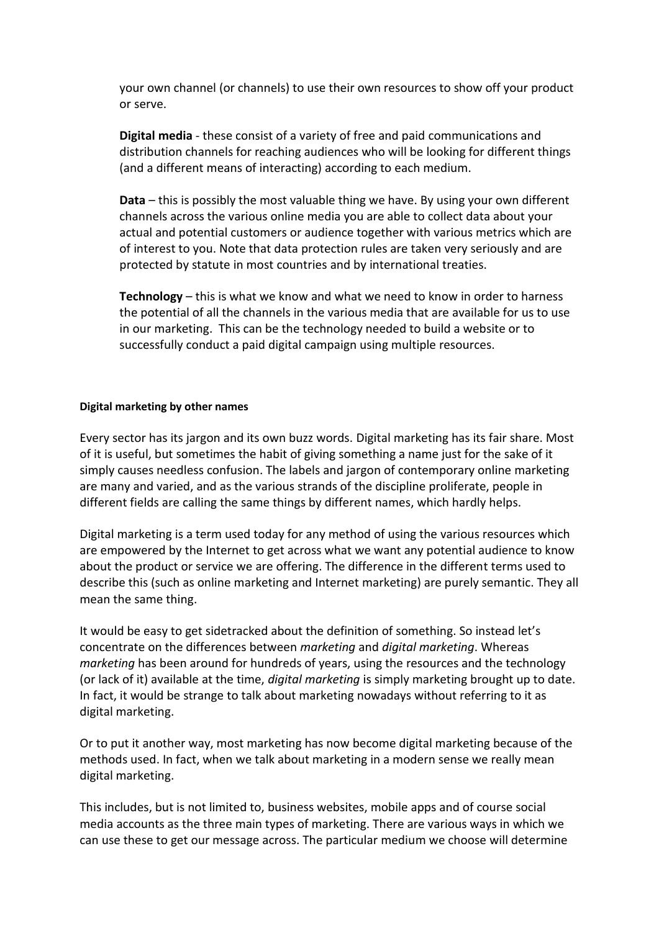your own channel (or channels) to use their own resources to show off your product or serve.

**Digital media** - these consist of a variety of free and paid communications and distribution channels for reaching audiences who will be looking for different things (and a different means of interacting) according to each medium.

**Data** – this is possibly the most valuable thing we have. By using your own different channels across the various online media you are able to collect data about your actual and potential customers or audience together with various metrics which are of interest to you. Note that data protection rules are taken very seriously and are protected by statute in most countries and by international treaties.

**Technology** – this is what we know and what we need to know in order to harness the potential of all the channels in the various media that are available for us to use in our marketing. This can be the technology needed to build a website or to successfully conduct a paid digital campaign using multiple resources.

#### **Digital marketing by other names**

Every sector has its jargon and its own buzz words. Digital marketing has its fair share. Most of it is useful, but sometimes the habit of giving something a name just for the sake of it simply causes needless confusion. The labels and jargon of contemporary online marketing are many and varied, and as the various strands of the discipline proliferate, people in different fields are calling the same things by different names, which hardly helps.

Digital marketing is a term used today for any method of using the various resources which are empowered by the Internet to get across what we want any potential audience to know about the product or service we are offering. The difference in the different terms used to describe this (such as online marketing and Internet marketing) are purely semantic. They all mean the same thing.

It would be easy to get sidetracked about the definition of something. So instead let's concentrate on the differences between *marketing* and *digital marketing*. Whereas *marketing* has been around for hundreds of years, using the resources and the technology (or lack of it) available at the time, *digital marketing* is simply marketing brought up to date. In fact, it would be strange to talk about marketing nowadays without referring to it as digital marketing.

Or to put it another way, most marketing has now become digital marketing because of the methods used. In fact, when we talk about marketing in a modern sense we really mean digital marketing.

This includes, but is not limited to, business websites, mobile apps and of course social media accounts as the three main types of marketing. There are various ways in which we can use these to get our message across. The particular medium we choose will determine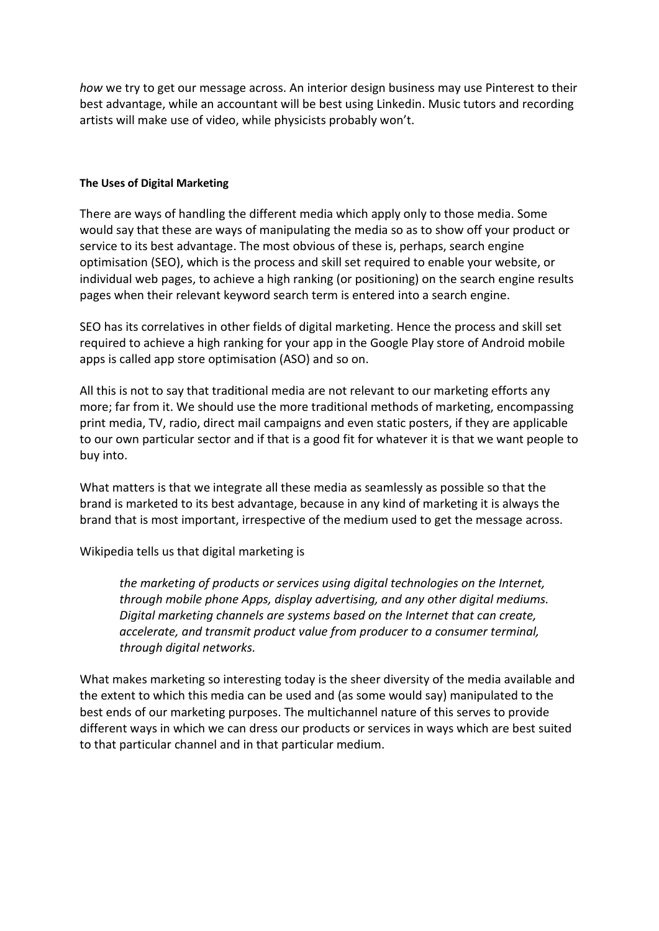*how* we try to get our message across. An interior design business may use Pinterest to their best advantage, while an accountant will be best using Linkedin. Music tutors and recording artists will make use of video, while physicists probably won't.

#### **The Uses of Digital Marketing**

There are ways of handling the different media which apply only to those media. Some would say that these are ways of manipulating the media so as to show off your product or service to its best advantage. The most obvious of these is, perhaps, search engine optimisation (SEO), which is the process and skill set required to enable your website, or individual web pages, to achieve a high ranking (or positioning) on the search engine results pages when their relevant keyword search term is entered into a search engine.

SEO has its correlatives in other fields of digital marketing. Hence the process and skill set required to achieve a high ranking for your app in the Google Play store of Android mobile apps is called app store optimisation (ASO) and so on.

All this is not to say that traditional media are not relevant to our marketing efforts any more; far from it. We should use the more traditional methods of marketing, encompassing print media, TV, radio, direct mail campaigns and even static posters, if they are applicable to our own particular sector and if that is a good fit for whatever it is that we want people to buy into.

What matters is that we integrate all these media as seamlessly as possible so that the brand is marketed to its best advantage, because in any kind of marketing it is always the brand that is most important, irrespective of the medium used to get the message across.

Wikipedia tells us that digital marketing is

*the marketing of products or services using digital technologies on the Internet, through mobile phone Apps, display advertising, and any other digital mediums. Digital marketing channels are systems based on the Internet that can create, accelerate, and transmit product value from producer to a consumer terminal, through digital networks.*

What makes marketing so interesting today is the sheer diversity of the media available and the extent to which this media can be used and (as some would say) manipulated to the best ends of our marketing purposes. The multichannel nature of this serves to provide different ways in which we can dress our products or services in ways which are best suited to that particular channel and in that particular medium.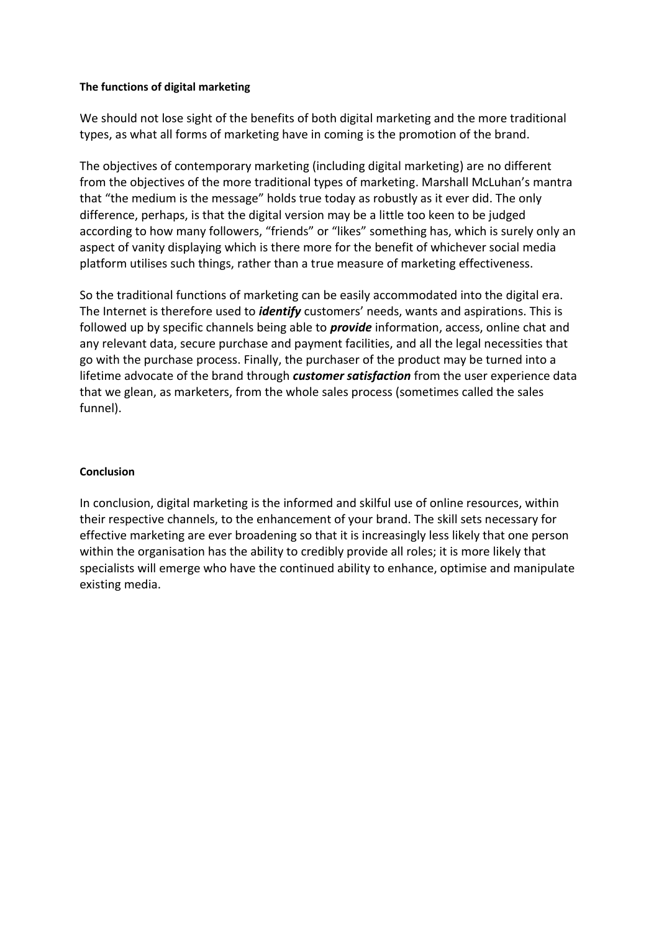#### **The functions of digital marketing**

We should not lose sight of the benefits of both digital marketing and the more traditional types, as what all forms of marketing have in coming is the promotion of the brand.

The objectives of contemporary marketing (including digital marketing) are no different from the objectives of the more traditional types of marketing. Marshall McLuhan's mantra that "the medium is the message" holds true today as robustly as it ever did. The only difference, perhaps, is that the digital version may be a little too keen to be judged according to how many followers, "friends" or "likes" something has, which is surely only an aspect of vanity displaying which is there more for the benefit of whichever social media platform utilises such things, rather than a true measure of marketing effectiveness.

So the traditional functions of marketing can be easily accommodated into the digital era. The Internet is therefore used to *identify* customers' needs, wants and aspirations. This is followed up by specific channels being able to *provide* information, access, online chat and any relevant data, secure purchase and payment facilities, and all the legal necessities that go with the purchase process. Finally, the purchaser of the product may be turned into a lifetime advocate of the brand through *customer satisfaction* from the user experience data that we glean, as marketers, from the whole sales process (sometimes called the sales funnel).

#### **Conclusion**

In conclusion, digital marketing is the informed and skilful use of online resources, within their respective channels, to the enhancement of your brand. The skill sets necessary for effective marketing are ever broadening so that it is increasingly less likely that one person within the organisation has the ability to credibly provide all roles; it is more likely that specialists will emerge who have the continued ability to enhance, optimise and manipulate existing media.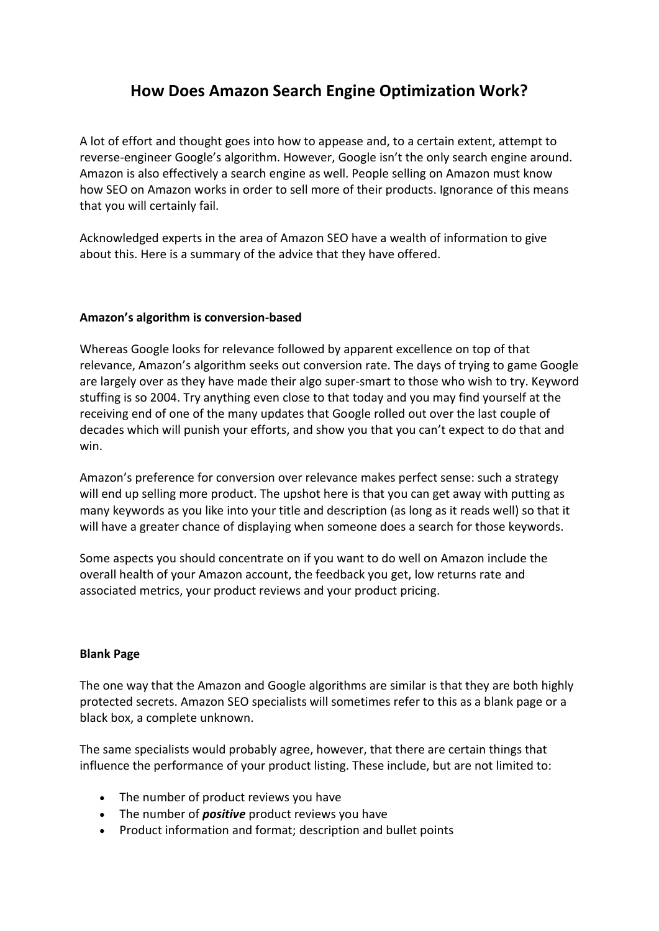## **How Does Amazon Search Engine Optimization Work?**

<span id="page-11-0"></span>A lot of effort and thought goes into how to appease and, to a certain extent, attempt to reverse-engineer Google's algorithm. However, Google isn't the only search engine around. Amazon is also effectively a search engine as well. People selling on Amazon must know how SEO on Amazon works in order to sell more of their products. Ignorance of this means that you will certainly fail.

Acknowledged experts in the area of Amazon SEO have a wealth of information to give about this. Here is a summary of the advice that they have offered.

#### **Amazon's algorithm is conversion-based**

Whereas Google looks for relevance followed by apparent excellence on top of that relevance, Amazon's algorithm seeks out conversion rate. The days of trying to game Google are largely over as they have made their algo super-smart to those who wish to try. Keyword stuffing is so 2004. Try anything even close to that today and you may find yourself at the receiving end of one of the many updates that Google rolled out over the last couple of decades which will punish your efforts, and show you that you can't expect to do that and win.

Amazon's preference for conversion over relevance makes perfect sense: such a strategy will end up selling more product. The upshot here is that you can get away with putting as many keywords as you like into your title and description (as long as it reads well) so that it will have a greater chance of displaying when someone does a search for those keywords.

Some aspects you should concentrate on if you want to do well on Amazon include the overall health of your Amazon account, the feedback you get, low returns rate and associated metrics, your product reviews and your product pricing.

#### **Blank Page**

The one way that the Amazon and Google algorithms are similar is that they are both highly protected secrets. Amazon SEO specialists will sometimes refer to this as a blank page or a black box, a complete unknown.

The same specialists would probably agree, however, that there are certain things that influence the performance of your product listing. These include, but are not limited to:

- The number of product reviews you have
- The number of *positive* product reviews you have
- Product information and format; description and bullet points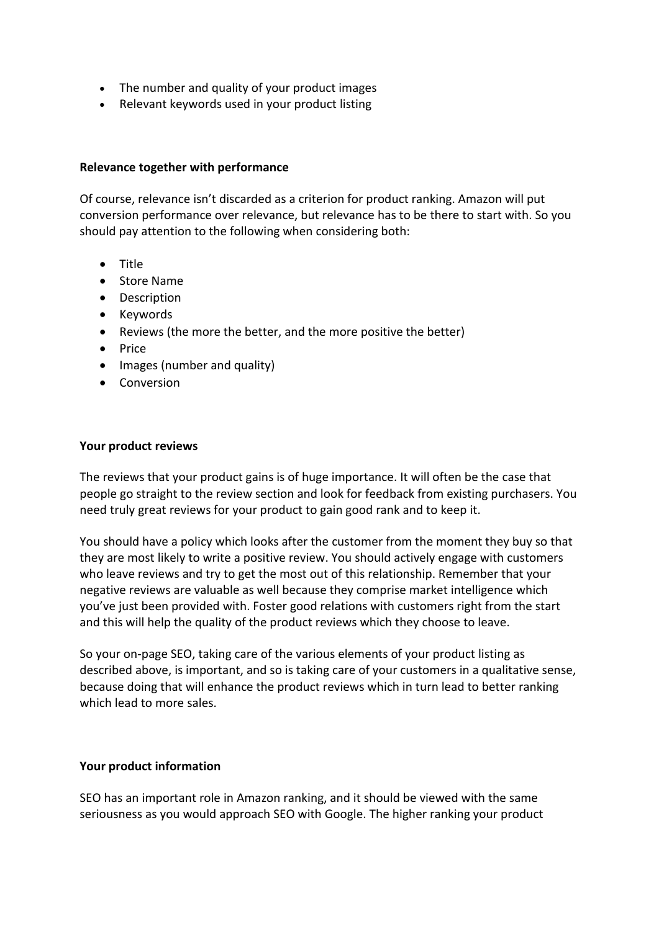- The number and quality of your product images
- Relevant keywords used in your product listing

#### **Relevance together with performance**

Of course, relevance isn't discarded as a criterion for product ranking. Amazon will put conversion performance over relevance, but relevance has to be there to start with. So you should pay attention to the following when considering both:

- Title
- Store Name
- Description
- Keywords
- Reviews (the more the better, and the more positive the better)
- Price
- Images (number and quality)
- Conversion

#### **Your product reviews**

The reviews that your product gains is of huge importance. It will often be the case that people go straight to the review section and look for feedback from existing purchasers. You need truly great reviews for your product to gain good rank and to keep it.

You should have a policy which looks after the customer from the moment they buy so that they are most likely to write a positive review. You should actively engage with customers who leave reviews and try to get the most out of this relationship. Remember that your negative reviews are valuable as well because they comprise market intelligence which you've just been provided with. Foster good relations with customers right from the start and this will help the quality of the product reviews which they choose to leave.

So your on-page SEO, taking care of the various elements of your product listing as described above, is important, and so is taking care of your customers in a qualitative sense, because doing that will enhance the product reviews which in turn lead to better ranking which lead to more sales.

#### **Your product information**

SEO has an important role in Amazon ranking, and it should be viewed with the same seriousness as you would approach SEO with Google. The higher ranking your product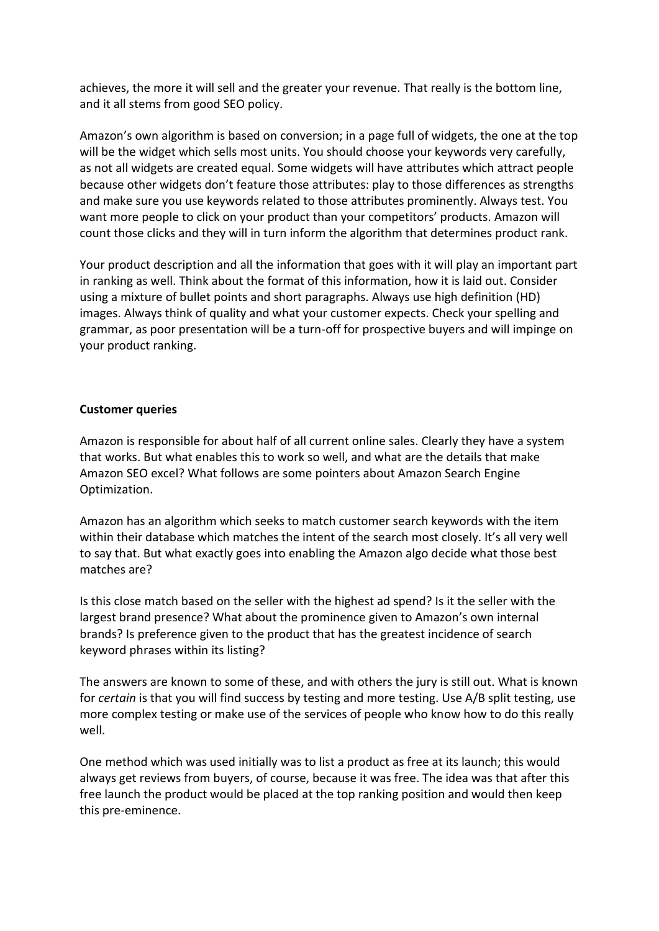achieves, the more it will sell and the greater your revenue. That really is the bottom line, and it all stems from good SEO policy.

Amazon's own algorithm is based on conversion; in a page full of widgets, the one at the top will be the widget which sells most units. You should choose your keywords very carefully, as not all widgets are created equal. Some widgets will have attributes which attract people because other widgets don't feature those attributes: play to those differences as strengths and make sure you use keywords related to those attributes prominently. Always test. You want more people to click on your product than your competitors' products. Amazon will count those clicks and they will in turn inform the algorithm that determines product rank.

Your product description and all the information that goes with it will play an important part in ranking as well. Think about the format of this information, how it is laid out. Consider using a mixture of bullet points and short paragraphs. Always use high definition (HD) images. Always think of quality and what your customer expects. Check your spelling and grammar, as poor presentation will be a turn-off for prospective buyers and will impinge on your product ranking.

#### **Customer queries**

Amazon is responsible for about half of all current online sales. Clearly they have a system that works. But what enables this to work so well, and what are the details that make Amazon SEO excel? What follows are some pointers about Amazon Search Engine Optimization.

Amazon has an algorithm which seeks to match customer search keywords with the item within their database which matches the intent of the search most closely. It's all very well to say that. But what exactly goes into enabling the Amazon algo decide what those best matches are?

Is this close match based on the seller with the highest ad spend? Is it the seller with the largest brand presence? What about the prominence given to Amazon's own internal brands? Is preference given to the product that has the greatest incidence of search keyword phrases within its listing?

The answers are known to some of these, and with others the jury is still out. What is known for *certain* is that you will find success by testing and more testing. Use A/B split testing, use more complex testing or make use of the services of people who know how to do this really well.

One method which was used initially was to list a product as free at its launch; this would always get reviews from buyers, of course, because it was free. The idea was that after this free launch the product would be placed at the top ranking position and would then keep this pre-eminence.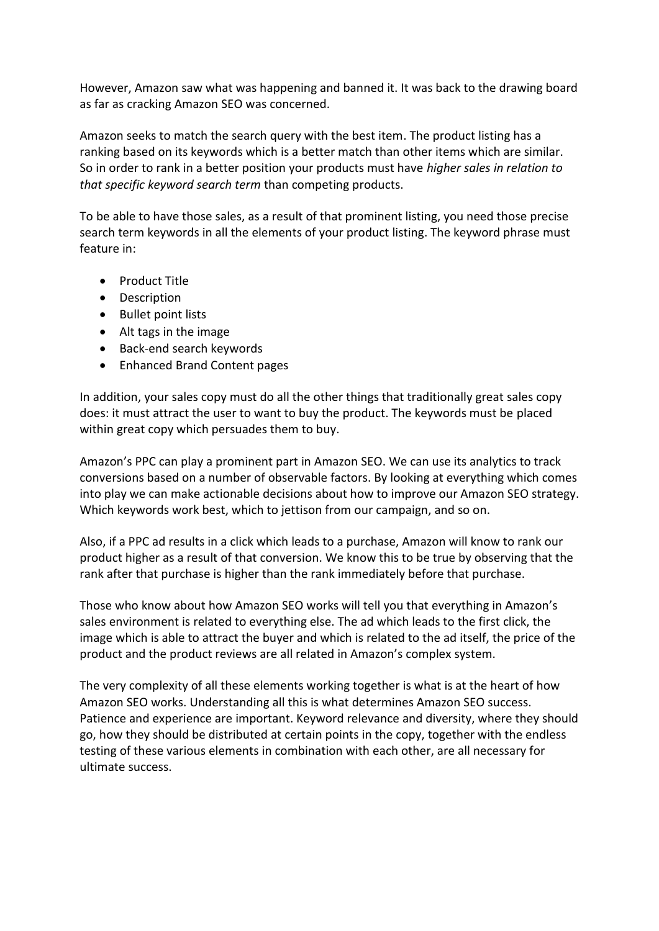However, Amazon saw what was happening and banned it. It was back to the drawing board as far as cracking Amazon SEO was concerned.

Amazon seeks to match the search query with the best item. The product listing has a ranking based on its keywords which is a better match than other items which are similar. So in order to rank in a better position your products must have *higher sales in relation to that specific keyword search term* than competing products.

To be able to have those sales, as a result of that prominent listing, you need those precise search term keywords in all the elements of your product listing. The keyword phrase must feature in:

- Product Title
- Description
- Bullet point lists
- Alt tags in the image
- Back-end search keywords
- Enhanced Brand Content pages

In addition, your sales copy must do all the other things that traditionally great sales copy does: it must attract the user to want to buy the product. The keywords must be placed within great copy which persuades them to buy.

Amazon's PPC can play a prominent part in Amazon SEO. We can use its analytics to track conversions based on a number of observable factors. By looking at everything which comes into play we can make actionable decisions about how to improve our Amazon SEO strategy. Which keywords work best, which to jettison from our campaign, and so on.

Also, if a PPC ad results in a click which leads to a purchase, Amazon will know to rank our product higher as a result of that conversion. We know this to be true by observing that the rank after that purchase is higher than the rank immediately before that purchase.

Those who know about how Amazon SEO works will tell you that everything in Amazon's sales environment is related to everything else. The ad which leads to the first click, the image which is able to attract the buyer and which is related to the ad itself, the price of the product and the product reviews are all related in Amazon's complex system.

The very complexity of all these elements working together is what is at the heart of how Amazon SEO works. Understanding all this is what determines Amazon SEO success. Patience and experience are important. Keyword relevance and diversity, where they should go, how they should be distributed at certain points in the copy, together with the endless testing of these various elements in combination with each other, are all necessary for ultimate success.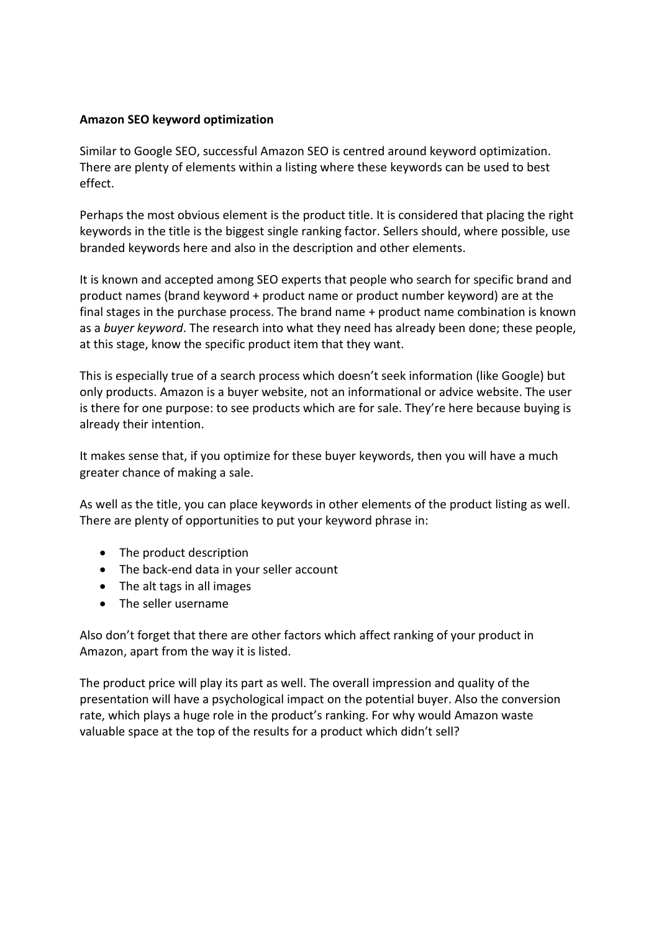#### **Amazon SEO keyword optimization**

Similar to Google SEO, successful Amazon SEO is centred around keyword optimization. There are plenty of elements within a listing where these keywords can be used to best effect.

Perhaps the most obvious element is the product title. It is considered that placing the right keywords in the title is the biggest single ranking factor. Sellers should, where possible, use branded keywords here and also in the description and other elements.

It is known and accepted among SEO experts that people who search for specific brand and product names (brand keyword + product name or product number keyword) are at the final stages in the purchase process. The brand name + product name combination is known as a *buyer keyword*. The research into what they need has already been done; these people, at this stage, know the specific product item that they want.

This is especially true of a search process which doesn't seek information (like Google) but only products. Amazon is a buyer website, not an informational or advice website. The user is there for one purpose: to see products which are for sale. They're here because buying is already their intention.

It makes sense that, if you optimize for these buyer keywords, then you will have a much greater chance of making a sale.

As well as the title, you can place keywords in other elements of the product listing as well. There are plenty of opportunities to put your keyword phrase in:

- The product description
- The back-end data in your seller account
- The alt tags in all images
- The seller username

Also don't forget that there are other factors which affect ranking of your product in Amazon, apart from the way it is listed.

The product price will play its part as well. The overall impression and quality of the presentation will have a psychological impact on the potential buyer. Also the conversion rate, which plays a huge role in the product's ranking. For why would Amazon waste valuable space at the top of the results for a product which didn't sell?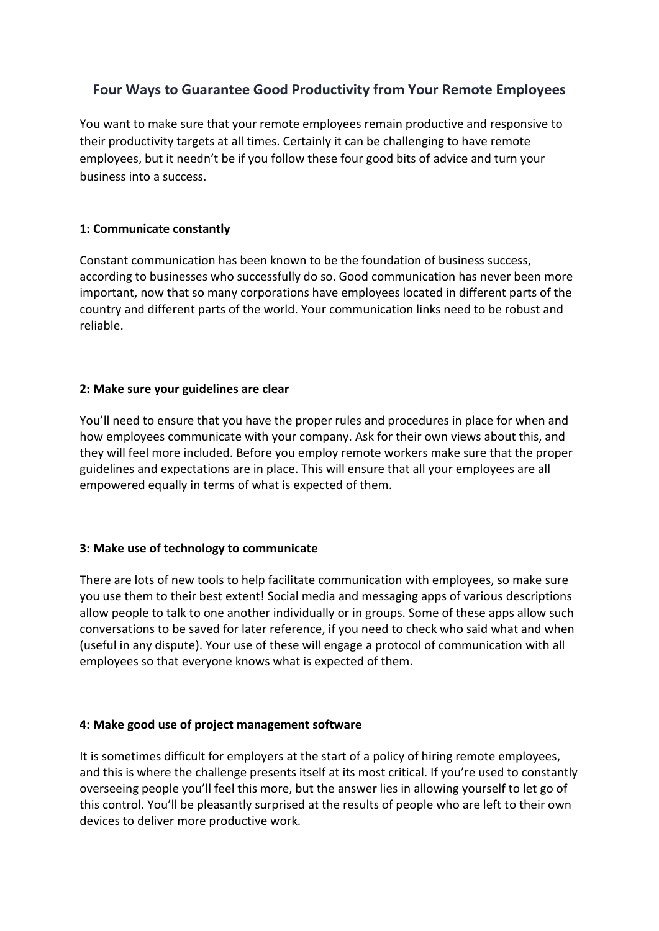### <span id="page-16-0"></span>**Four Ways to Guarantee Good Productivity from Your Remote Employees**

You want to make sure that your remote employees remain productive and responsive to their productivity targets at all times. Certainly it can be challenging to have remote employees, but it needn't be if you follow these four good bits of advice and turn your business into a success.

#### **1: Communicate constantly**

Constant communication has been known to be the foundation of business success, according to businesses who successfully do so. Good communication has never been more important, now that so many corporations have employees located in different parts of the country and different parts of the world. Your communication links need to be robust and reliable.

#### **2: Make sure your guidelines are clear**

You'll need to ensure that you have the proper rules and procedures in place for when and how employees communicate with your company. Ask for their own views about this, and they will feel more included. Before you employ remote workers make sure that the proper guidelines and expectations are in place. This will ensure that all your employees are all empowered equally in terms of what is expected of them.

#### **3: Make use of technology to communicate**

There are lots of new tools to help facilitate communication with employees, so make sure you use them to their best extent! Social media and messaging apps of various descriptions allow people to talk to one another individually or in groups. Some of these apps allow such conversations to be saved for later reference, if you need to check who said what and when (useful in any dispute). Your use of these will engage a protocol of communication with all employees so that everyone knows what is expected of them.

#### **4: Make good use of project management software**

It is sometimes difficult for employers at the start of a policy of hiring remote employees, and this is where the challenge presents itself at its most critical. If you're used to constantly overseeing people you'll feel this more, but the answer lies in allowing yourself to let go of this control. You'll be pleasantly surprised at the results of people who are left to their own devices to deliver more productive work.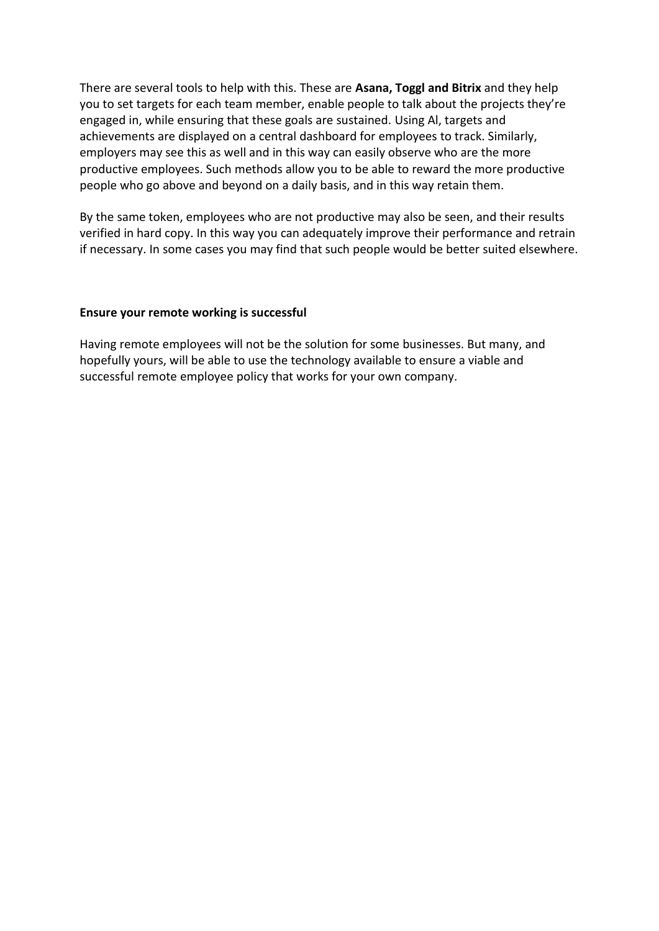There are several tools to help with this. These are **Asana, Toggl and Bitrix** and they help you to set targets for each team member, enable people to talk about the projects they're engaged in, while ensuring that these goals are sustained. Using Al, targets and achievements are displayed on a central dashboard for employees to track. Similarly, employers may see this as well and in this way can easily observe who are the more productive employees. Such methods allow you to be able to reward the more productive people who go above and beyond on a daily basis, and in this way retain them.

By the same token, employees who are not productive may also be seen, and their results verified in hard copy. In this way you can adequately improve their performance and retrain if necessary. In some cases you may find that such people would be better suited elsewhere.

#### **Ensure your remote working is successful**

Having remote employees will not be the solution for some businesses. But many, and hopefully yours, will be able to use the technology available to ensure a viable and successful remote employee policy that works for your own company.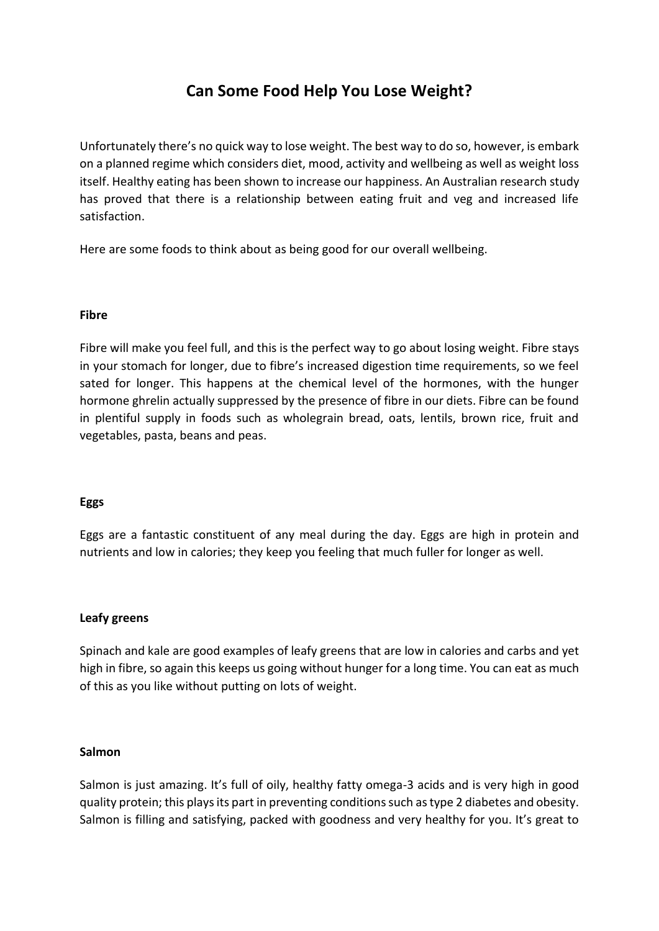## **Can Some Food Help You Lose Weight?**

<span id="page-18-0"></span>Unfortunately there's no quick way to lose weight. The best way to do so, however, is embark on a planned regime which considers diet, mood, activity and wellbeing as well as weight loss itself. Healthy eating has been shown to increase our happiness. An Australian research study has proved that there is a relationship between eating fruit and veg and increased life satisfaction.

Here are some foods to think about as being good for our overall wellbeing.

#### **Fibre**

Fibre will make you feel full, and this is the perfect way to go about losing weight. Fibre stays in your stomach for longer, due to fibre's increased digestion time requirements, so we feel sated for longer. This happens at the chemical level of the hormones, with the hunger hormone ghrelin actually suppressed by the presence of fibre in our diets. Fibre can be found in plentiful supply in foods such as wholegrain bread, oats, lentils, brown rice, fruit and vegetables, pasta, beans and peas.

#### **Eggs**

Eggs are a fantastic constituent of any meal during the day. Eggs are high in protein and nutrients and low in calories; they keep you feeling that much fuller for longer as well.

#### **Leafy greens**

Spinach and kale are good examples of leafy greens that are low in calories and carbs and yet high in fibre, so again this keeps us going without hunger for a long time. You can eat as much of this as you like without putting on lots of weight.

#### **Salmon**

Salmon is just amazing. It's full of oily, healthy fatty omega-3 acids and is very high in good quality protein; this plays its part in preventing conditions such as type 2 diabetes and obesity. Salmon is filling and satisfying, packed with goodness and very healthy for you. It's great to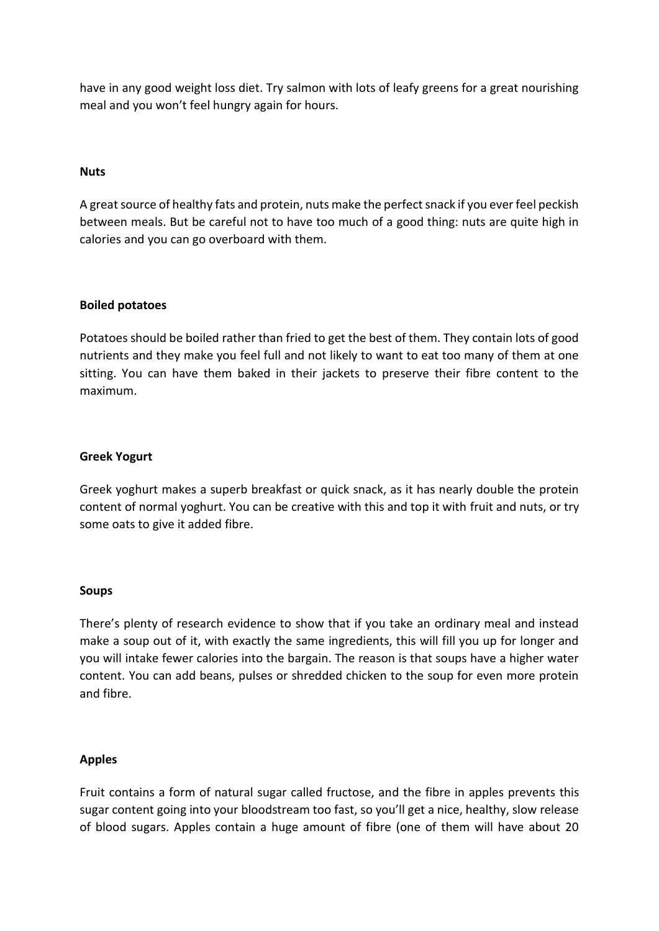have in any good weight loss diet. Try salmon with lots of leafy greens for a great nourishing meal and you won't feel hungry again for hours.

#### **Nuts**

A great source of healthy fats and protein, nuts make the perfect snack if you ever feel peckish between meals. But be careful not to have too much of a good thing: nuts are quite high in calories and you can go overboard with them.

#### **Boiled potatoes**

Potatoes should be boiled rather than fried to get the best of them. They contain lots of good nutrients and they make you feel full and not likely to want to eat too many of them at one sitting. You can have them baked in their jackets to preserve their fibre content to the maximum.

#### **Greek Yogurt**

Greek yoghurt makes a superb breakfast or quick snack, as it has nearly double the protein content of normal yoghurt. You can be creative with this and top it with fruit and nuts, or try some oats to give it added fibre.

#### **Soups**

There's plenty of research evidence to show that if you take an ordinary meal and instead make a soup out of it, with exactly the same ingredients, this will fill you up for longer and you will intake fewer calories into the bargain. The reason is that soups have a higher water content. You can add beans, pulses or shredded chicken to the soup for even more protein and fibre.

#### **Apples**

Fruit contains a form of natural sugar called fructose, and the fibre in apples prevents this sugar content going into your bloodstream too fast, so you'll get a nice, healthy, slow release of blood sugars. Apples contain a huge amount of fibre (one of them will have about 20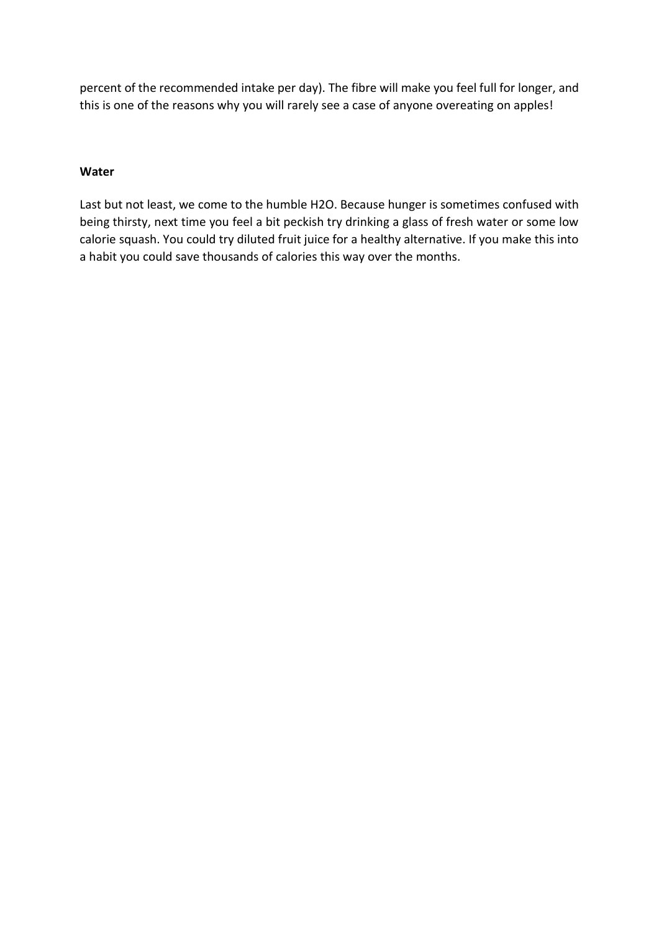percent of the recommended intake per day). The fibre will make you feel full for longer, and this is one of the reasons why you will rarely see a case of anyone overeating on apples!

#### **Water**

Last but not least, we come to the humble H2O. Because hunger is sometimes confused with being thirsty, next time you feel a bit peckish try drinking a glass of fresh water or some low calorie squash. You could try diluted fruit juice for a healthy alternative. If you make this into a habit you could save thousands of calories this way over the months.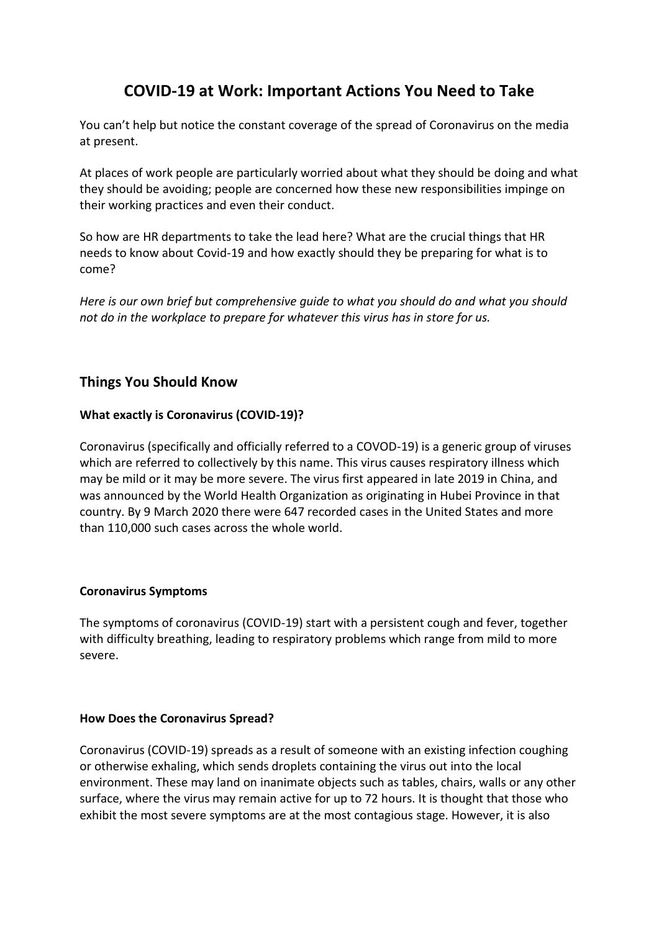## **COVID-19 at Work: Important Actions You Need to Take**

<span id="page-21-0"></span>You can't help but notice the constant coverage of the spread of Coronavirus on the media at present.

At places of work people are particularly worried about what they should be doing and what they should be avoiding; people are concerned how these new responsibilities impinge on their working practices and even their conduct.

So how are HR departments to take the lead here? What are the crucial things that HR needs to know about Covid-19 and how exactly should they be preparing for what is to come?

*Here is our own brief but comprehensive guide to what you should do and what you should not do in the workplace to prepare for whatever this virus has in store for us.*

#### **Things You Should Know**

#### **What exactly is Coronavirus (COVID-19)?**

Coronavirus (specifically and officially referred to a COVOD-19) is a generic group of viruses which are referred to collectively by this name. This virus causes respiratory illness which may be mild or it may be more severe. The virus first appeared in late 2019 in China, and was announced by the World Health Organization as originating in Hubei Province in that country. By 9 March 2020 there were 647 recorded cases in the United States and more than 110,000 such cases across the whole world.

#### **Coronavirus Symptoms**

The symptoms of coronavirus (COVID-19) start with a persistent cough and fever, together with difficulty breathing, leading to respiratory problems which range from mild to more severe.

#### **How Does the Coronavirus Spread?**

Coronavirus (COVID-19) spreads as a result of someone with an existing infection coughing or otherwise exhaling, which sends droplets containing the virus out into the local environment. These may land on inanimate objects such as tables, chairs, walls or any other surface, where the virus may remain active for up to 72 hours. It is thought that those who exhibit the most severe symptoms are at the most contagious stage. However, it is also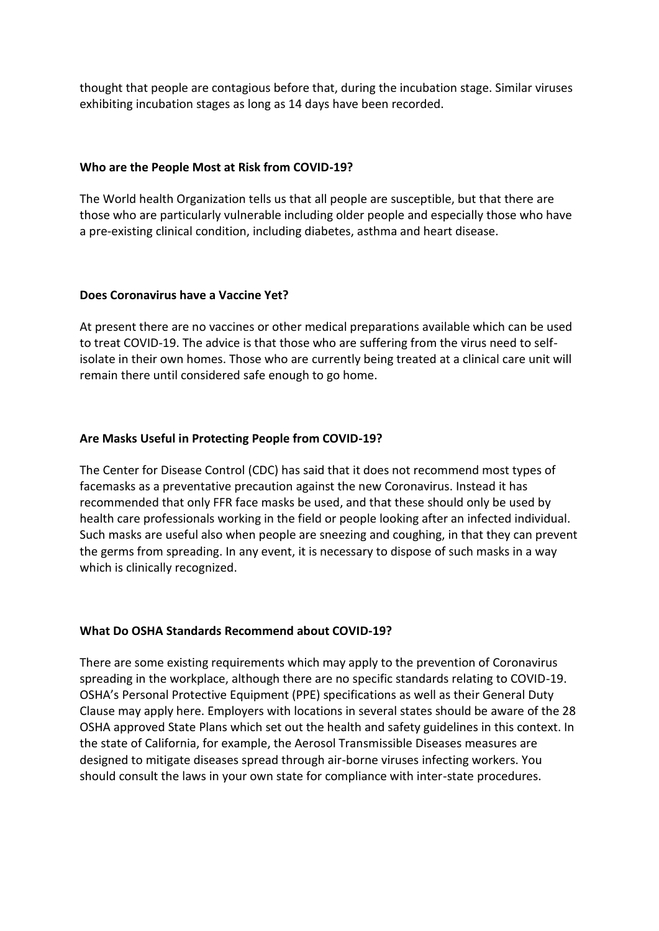thought that people are contagious before that, during the incubation stage. Similar viruses exhibiting incubation stages as long as 14 days have been recorded.

#### **Who are the People Most at Risk from COVID-19?**

The World health Organization tells us that all people are susceptible, but that there are those who are particularly vulnerable including older people and especially those who have a pre-existing clinical condition, including diabetes, asthma and heart disease.

#### **Does Coronavirus have a Vaccine Yet?**

At present there are no vaccines or other medical preparations available which can be used to treat COVID-19. The advice is that those who are suffering from the virus need to selfisolate in their own homes. Those who are currently being treated at a clinical care unit will remain there until considered safe enough to go home.

#### **Are Masks Useful in Protecting People from COVID-19?**

The Center for Disease Control (CDC) has said that it does not recommend most types of facemasks as a preventative precaution against the new Coronavirus. Instead it has recommended that only FFR face masks be used, and that these should only be used by health care professionals working in the field or people looking after an infected individual. Such masks are useful also when people are sneezing and coughing, in that they can prevent the germs from spreading. In any event, it is necessary to dispose of such masks in a way which is clinically recognized.

#### **What Do OSHA Standards Recommend about COVID-19?**

There are some existing requirements which may apply to the prevention of Coronavirus spreading in the workplace, although there are no specific standards relating to COVID-19. OSHA's Personal Protective Equipment (PPE) specifications as well as their General Duty Clause may apply here. Employers with locations in several states should be aware of the 28 OSHA approved State Plans which set out the health and safety guidelines in this context. In the state of California, for example, the Aerosol Transmissible Diseases measures are designed to mitigate diseases spread through air-borne viruses infecting workers. You should consult the laws in your own state for compliance with inter-state procedures.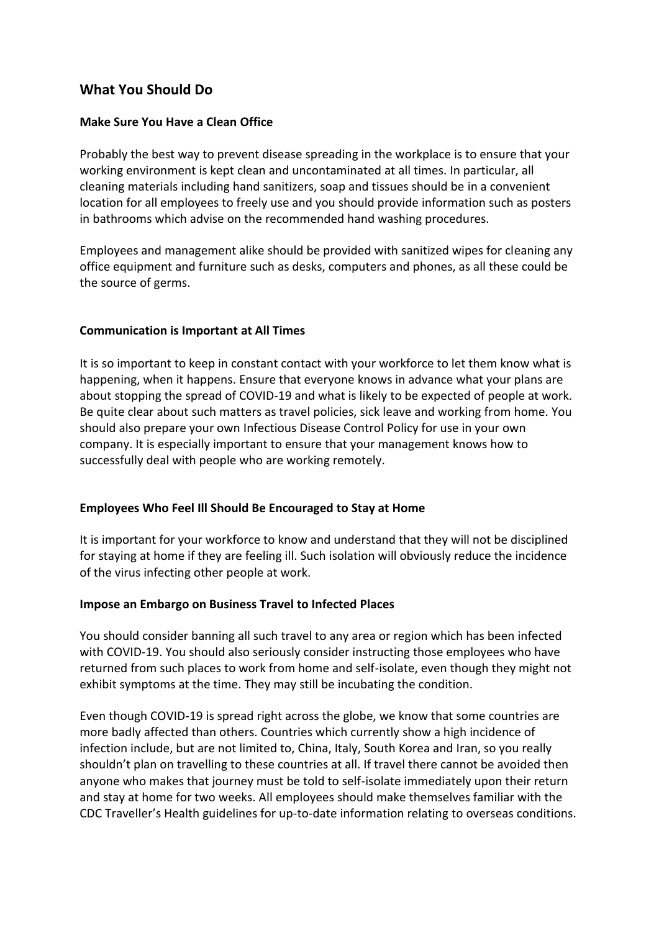#### **What You Should Do**

#### **Make Sure You Have a Clean Office**

Probably the best way to prevent disease spreading in the workplace is to ensure that your working environment is kept clean and uncontaminated at all times. In particular, all cleaning materials including hand sanitizers, soap and tissues should be in a convenient location for all employees to freely use and you should provide information such as posters in bathrooms which advise on the recommended hand washing procedures.

Employees and management alike should be provided with sanitized wipes for cleaning any office equipment and furniture such as desks, computers and phones, as all these could be the source of germs.

#### **Communication is Important at All Times**

It is so important to keep in constant contact with your workforce to let them know what is happening, when it happens. Ensure that everyone knows in advance what your plans are about stopping the spread of COVID-19 and what is likely to be expected of people at work. Be quite clear about such matters as travel policies, sick leave and working from home. You should also prepare your own Infectious Disease Control Policy for use in your own company. It is especially important to ensure that your management knows how to successfully deal with people who are working remotely.

#### **Employees Who Feel Ill Should Be Encouraged to Stay at Home**

It is important for your workforce to know and understand that they will not be disciplined for staying at home if they are feeling ill. Such isolation will obviously reduce the incidence of the virus infecting other people at work.

#### **Impose an Embargo on Business Travel to Infected Places**

You should consider banning all such travel to any area or region which has been infected with COVID-19. You should also seriously consider instructing those employees who have returned from such places to work from home and self-isolate, even though they might not exhibit symptoms at the time. They may still be incubating the condition.

Even though COVID-19 is spread right across the globe, we know that some countries are more badly affected than others. Countries which currently show a high incidence of infection include, but are not limited to, China, Italy, South Korea and Iran, so you really shouldn't plan on travelling to these countries at all. If travel there cannot be avoided then anyone who makes that journey must be told to self-isolate immediately upon their return and stay at home for two weeks. All employees should make themselves familiar with the CDC Traveller's Health guidelines for up-to-date information relating to overseas conditions.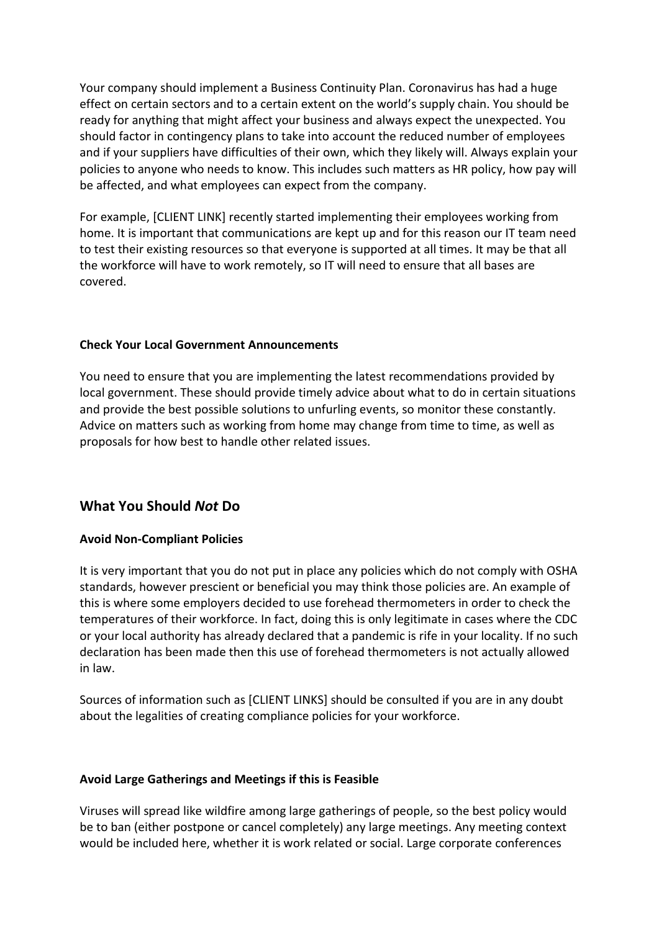Your company should implement a Business Continuity Plan. Coronavirus has had a huge effect on certain sectors and to a certain extent on the world's supply chain. You should be ready for anything that might affect your business and always expect the unexpected. You should factor in contingency plans to take into account the reduced number of employees and if your suppliers have difficulties of their own, which they likely will. Always explain your policies to anyone who needs to know. This includes such matters as HR policy, how pay will be affected, and what employees can expect from the company.

For example, [CLIENT LINK] recently started implementing their employees working from home. It is important that communications are kept up and for this reason our IT team need to test their existing resources so that everyone is supported at all times. It may be that all the workforce will have to work remotely, so IT will need to ensure that all bases are covered.

#### **Check Your Local Government Announcements**

You need to ensure that you are implementing the latest recommendations provided by local government. These should provide timely advice about what to do in certain situations and provide the best possible solutions to unfurling events, so monitor these constantly. Advice on matters such as working from home may change from time to time, as well as proposals for how best to handle other related issues.

#### **What You Should** *Not* **Do**

#### **Avoid Non-Compliant Policies**

It is very important that you do not put in place any policies which do not comply with OSHA standards, however prescient or beneficial you may think those policies are. An example of this is where some employers decided to use forehead thermometers in order to check the temperatures of their workforce. In fact, doing this is only legitimate in cases where the CDC or your local authority has already declared that a pandemic is rife in your locality. If no such declaration has been made then this use of forehead thermometers is not actually allowed in law.

Sources of information such as [CLIENT LINKS] should be consulted if you are in any doubt about the legalities of creating compliance policies for your workforce.

#### **Avoid Large Gatherings and Meetings if this is Feasible**

Viruses will spread like wildfire among large gatherings of people, so the best policy would be to ban (either postpone or cancel completely) any large meetings. Any meeting context would be included here, whether it is work related or social. Large corporate conferences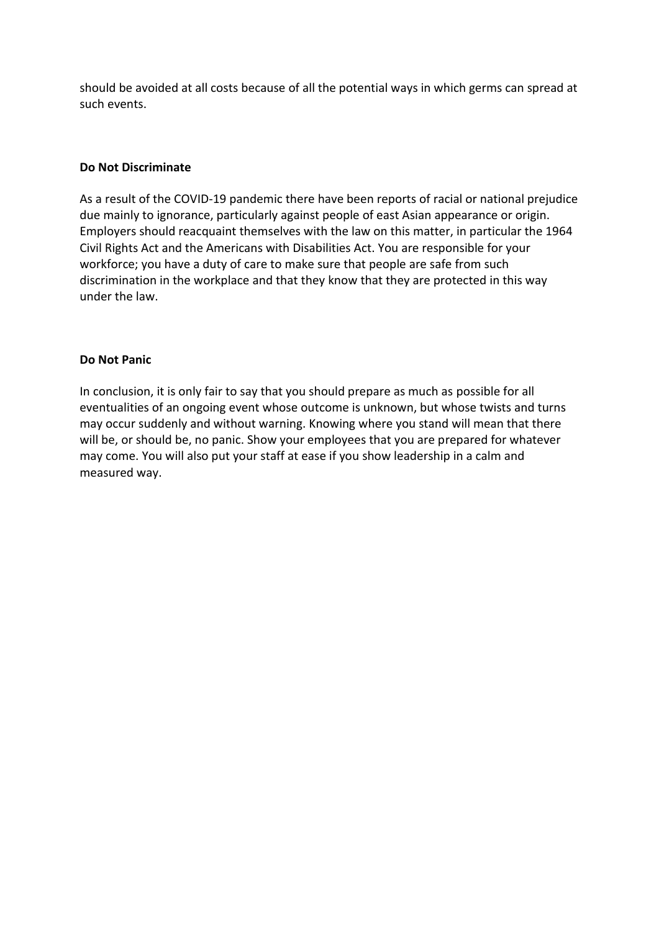should be avoided at all costs because of all the potential ways in which germs can spread at such events.

#### **Do Not Discriminate**

As a result of the COVID-19 pandemic there have been reports of racial or national prejudice due mainly to ignorance, particularly against people of east Asian appearance or origin. Employers should reacquaint themselves with the law on this matter, in particular the 1964 Civil Rights Act and the Americans with Disabilities Act. You are responsible for your workforce; you have a duty of care to make sure that people are safe from such discrimination in the workplace and that they know that they are protected in this way under the law.

#### **Do Not Panic**

In conclusion, it is only fair to say that you should prepare as much as possible for all eventualities of an ongoing event whose outcome is unknown, but whose twists and turns may occur suddenly and without warning. Knowing where you stand will mean that there will be, or should be, no panic. Show your employees that you are prepared for whatever may come. You will also put your staff at ease if you show leadership in a calm and measured way.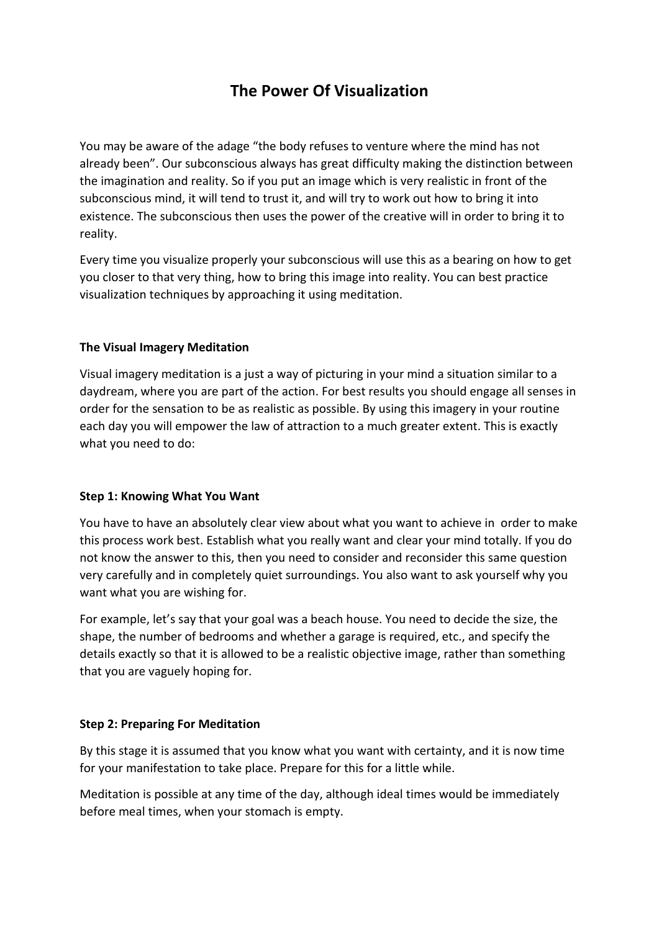## **The Power Of Visualization**

<span id="page-26-0"></span>You may be aware of the adage "the body refuses to venture where the mind has not already been". Our subconscious always has great difficulty making the distinction between the imagination and reality. So if you put an image which is very realistic in front of the subconscious mind, it will tend to trust it, and will try to work out how to bring it into existence. The subconscious then uses the power of the creative will in order to bring it to reality.

Every time you visualize properly your subconscious will use this as a bearing on how to get you closer to that very thing, how to bring this image into reality. You can best practice visualization techniques by approaching it using meditation.

#### **The Visual Imagery Meditation**

Visual imagery meditation is a just a way of picturing in your mind a situation similar to a daydream, where you are part of the action. For best results you should engage all senses in order for the sensation to be as realistic as possible. By using this imagery in your routine each day you will empower the law of attraction to a much greater extent. This is exactly what you need to do:

#### **Step 1: Knowing What You Want**

You have to have an absolutely clear view about what you want to achieve in order to make this process work best. Establish what you really want and clear your mind totally. If you do not know the answer to this, then you need to consider and reconsider this same question very carefully and in completely quiet surroundings. You also want to ask yourself why you want what you are wishing for.

For example, let's say that your goal was a beach house. You need to decide the size, the shape, the number of bedrooms and whether a garage is required, etc., and specify the details exactly so that it is allowed to be a realistic objective image, rather than something that you are vaguely hoping for.

#### **Step 2: Preparing For Meditation**

By this stage it is assumed that you know what you want with certainty, and it is now time for your manifestation to take place. Prepare for this for a little while.

Meditation is possible at any time of the day, although ideal times would be immediately before meal times, when your stomach is empty.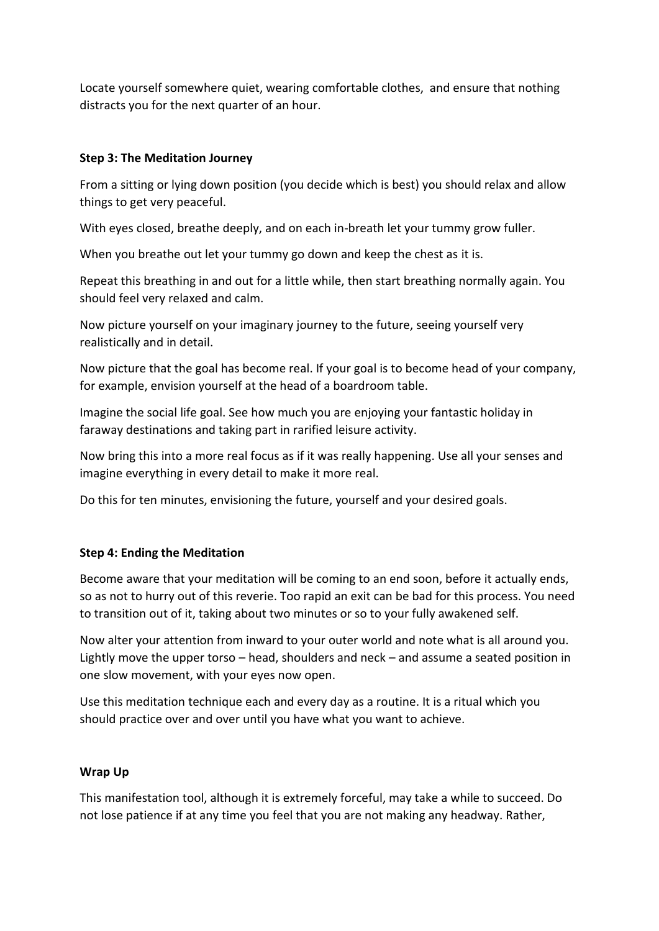Locate yourself somewhere quiet, wearing comfortable clothes, and ensure that nothing distracts you for the next quarter of an hour.

#### **Step 3: The Meditation Journey**

From a sitting or lying down position (you decide which is best) you should relax and allow things to get very peaceful.

With eyes closed, breathe deeply, and on each in-breath let your tummy grow fuller.

When you breathe out let your tummy go down and keep the chest as it is.

Repeat this breathing in and out for a little while, then start breathing normally again. You should feel very relaxed and calm.

Now picture yourself on your imaginary journey to the future, seeing yourself very realistically and in detail.

Now picture that the goal has become real. If your goal is to become head of your company, for example, envision yourself at the head of a boardroom table.

Imagine the social life goal. See how much you are enjoying your fantastic holiday in faraway destinations and taking part in rarified leisure activity.

Now bring this into a more real focus as if it was really happening. Use all your senses and imagine everything in every detail to make it more real.

Do this for ten minutes, envisioning the future, yourself and your desired goals.

#### **Step 4: Ending the Meditation**

Become aware that your meditation will be coming to an end soon, before it actually ends, so as not to hurry out of this reverie. Too rapid an exit can be bad for this process. You need to transition out of it, taking about two minutes or so to your fully awakened self.

Now alter your attention from inward to your outer world and note what is all around you. Lightly move the upper torso – head, shoulders and neck – and assume a seated position in one slow movement, with your eyes now open.

Use this meditation technique each and every day as a routine. It is a ritual which you should practice over and over until you have what you want to achieve.

#### **Wrap Up**

This manifestation tool, although it is extremely forceful, may take a while to succeed. Do not lose patience if at any time you feel that you are not making any headway. Rather,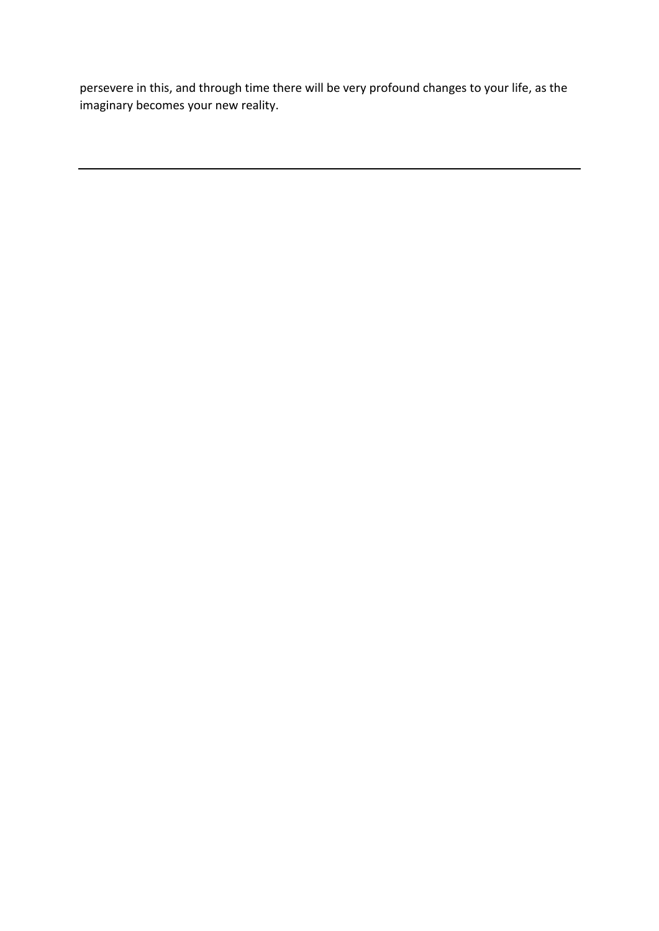persevere in this, and through time there will be very profound changes to your life, as the imaginary becomes your new reality.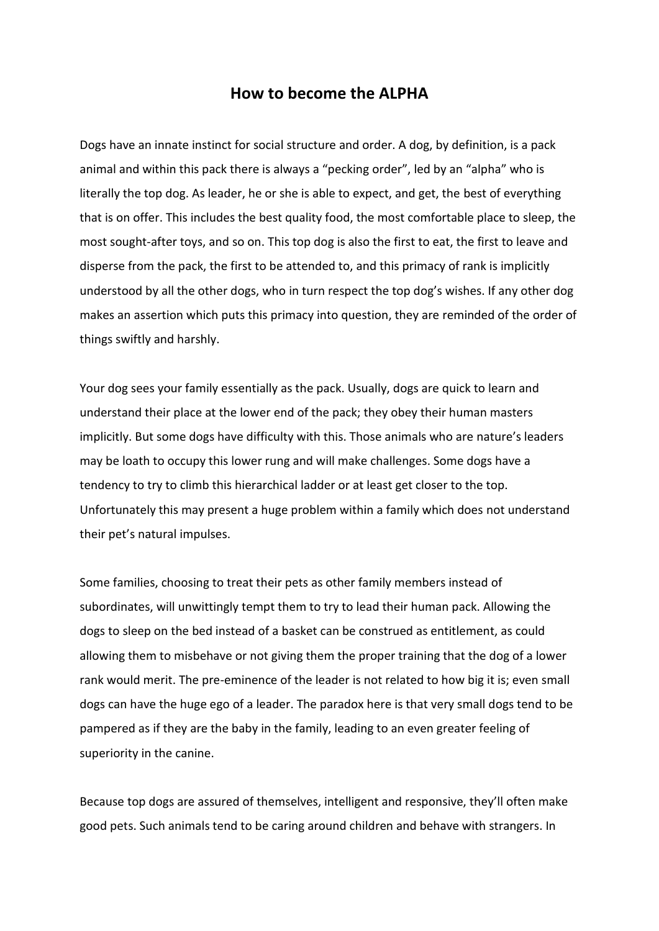#### **How to become the ALPHA**

<span id="page-29-0"></span>Dogs have an innate instinct for social structure and order. A dog, by definition, is a pack animal and within this pack there is always a "pecking order", led by an "alpha" who is literally the top dog. As leader, he or she is able to expect, and get, the best of everything that is on offer. This includes the best quality food, the most comfortable place to sleep, the most sought-after toys, and so on. This top dog is also the first to eat, the first to leave and disperse from the pack, the first to be attended to, and this primacy of rank is implicitly understood by all the other dogs, who in turn respect the top dog's wishes. If any other dog makes an assertion which puts this primacy into question, they are reminded of the order of things swiftly and harshly.

Your dog sees your family essentially as the pack. Usually, dogs are quick to learn and understand their place at the lower end of the pack; they obey their human masters implicitly. But some dogs have difficulty with this. Those animals who are nature's leaders may be loath to occupy this lower rung and will make challenges. Some dogs have a tendency to try to climb this hierarchical ladder or at least get closer to the top. Unfortunately this may present a huge problem within a family which does not understand their pet's natural impulses.

Some families, choosing to treat their pets as other family members instead of subordinates, will unwittingly tempt them to try to lead their human pack. Allowing the dogs to sleep on the bed instead of a basket can be construed as entitlement, as could allowing them to misbehave or not giving them the proper training that the dog of a lower rank would merit. The pre-eminence of the leader is not related to how big it is; even small dogs can have the huge ego of a leader. The paradox here is that very small dogs tend to be pampered as if they are the baby in the family, leading to an even greater feeling of superiority in the canine.

Because top dogs are assured of themselves, intelligent and responsive, they'll often make good pets. Such animals tend to be caring around children and behave with strangers. In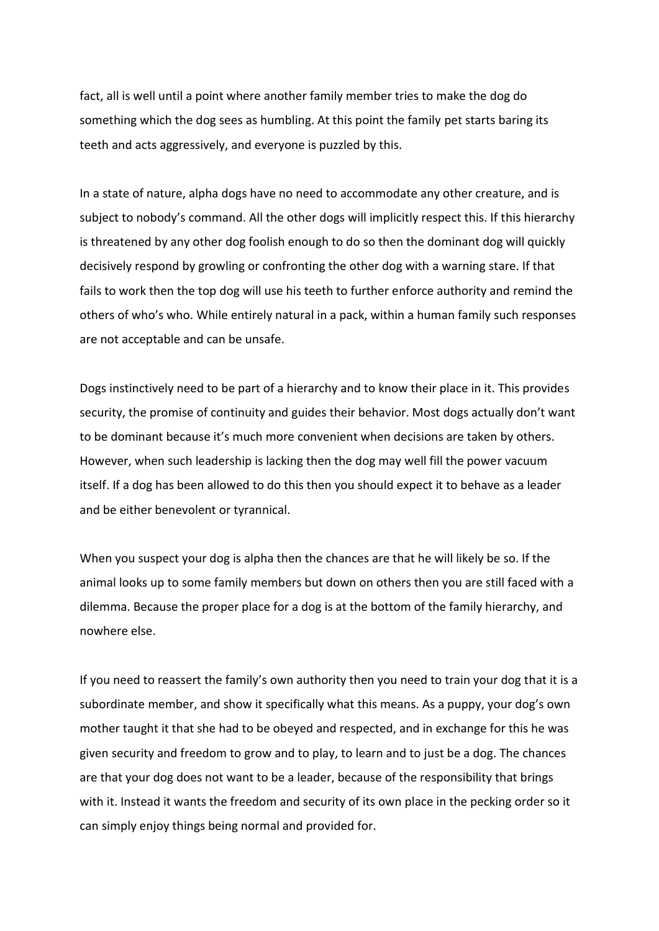fact, all is well until a point where another family member tries to make the dog do something which the dog sees as humbling. At this point the family pet starts baring its teeth and acts aggressively, and everyone is puzzled by this.

In a state of nature, alpha dogs have no need to accommodate any other creature, and is subject to nobody's command. All the other dogs will implicitly respect this. If this hierarchy is threatened by any other dog foolish enough to do so then the dominant dog will quickly decisively respond by growling or confronting the other dog with a warning stare. If that fails to work then the top dog will use his teeth to further enforce authority and remind the others of who's who. While entirely natural in a pack, within a human family such responses are not acceptable and can be unsafe.

Dogs instinctively need to be part of a hierarchy and to know their place in it. This provides security, the promise of continuity and guides their behavior. Most dogs actually don't want to be dominant because it's much more convenient when decisions are taken by others. However, when such leadership is lacking then the dog may well fill the power vacuum itself. If a dog has been allowed to do this then you should expect it to behave as a leader and be either benevolent or tyrannical.

When you suspect your dog is alpha then the chances are that he will likely be so. If the animal looks up to some family members but down on others then you are still faced with a dilemma. Because the proper place for a dog is at the bottom of the family hierarchy, and nowhere else.

If you need to reassert the family's own authority then you need to train your dog that it is a subordinate member, and show it specifically what this means. As a puppy, your dog's own mother taught it that she had to be obeyed and respected, and in exchange for this he was given security and freedom to grow and to play, to learn and to just be a dog. The chances are that your dog does not want to be a leader, because of the responsibility that brings with it. Instead it wants the freedom and security of its own place in the pecking order so it can simply enjoy things being normal and provided for.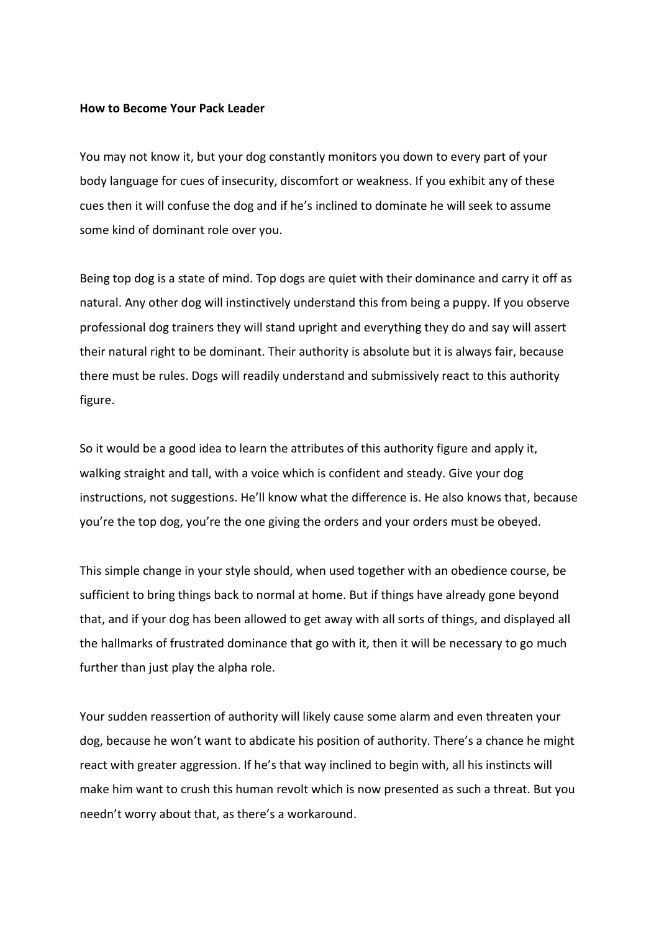#### **How to Become Your Pack Leader**

You may not know it, but your dog constantly monitors you down to every part of your body language for cues of insecurity, discomfort or weakness. If you exhibit any of these cues then it will confuse the dog and if he's inclined to dominate he will seek to assume some kind of dominant role over you.

Being top dog is a state of mind. Top dogs are quiet with their dominance and carry it off as natural. Any other dog will instinctively understand this from being a puppy. If you observe professional dog trainers they will stand upright and everything they do and say will assert their natural right to be dominant. Their authority is absolute but it is always fair, because there must be rules. Dogs will readily understand and submissively react to this authority figure.

So it would be a good idea to learn the attributes of this authority figure and apply it, walking straight and tall, with a voice which is confident and steady. Give your dog instructions, not suggestions. He'll know what the difference is. He also knows that, because you're the top dog, you're the one giving the orders and your orders must be obeyed.

This simple change in your style should, when used together with an obedience course, be sufficient to bring things back to normal at home. But if things have already gone beyond that, and if your dog has been allowed to get away with all sorts of things, and displayed all the hallmarks of frustrated dominance that go with it, then it will be necessary to go much further than just play the alpha role.

Your sudden reassertion of authority will likely cause some alarm and even threaten your dog, because he won't want to abdicate his position of authority. There's a chance he might react with greater aggression. If he's that way inclined to begin with, all his instincts will make him want to crush this human revolt which is now presented as such a threat. But you needn't worry about that, as there's a workaround.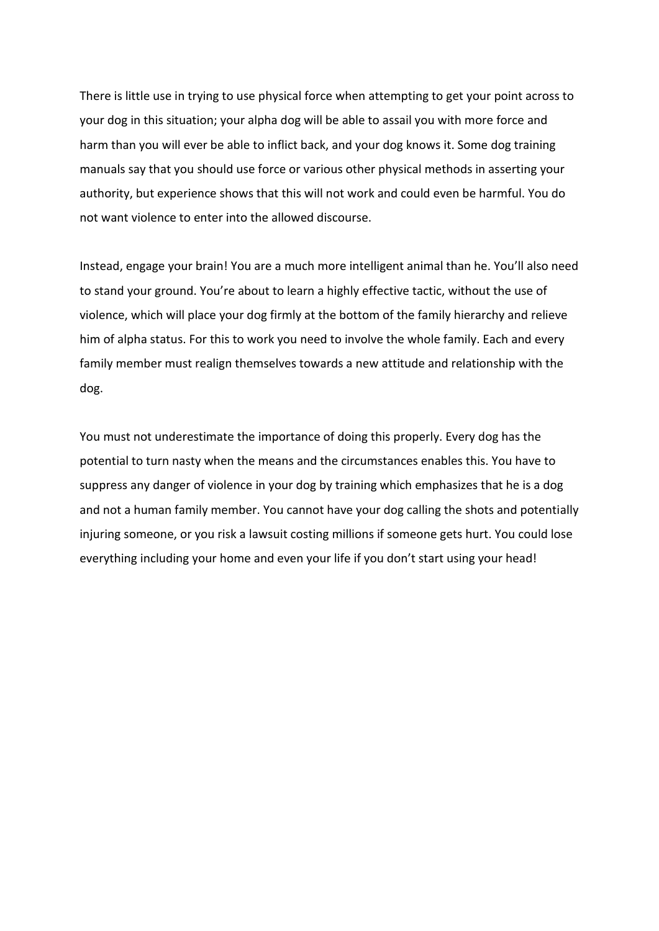There is little use in trying to use physical force when attempting to get your point across to your dog in this situation; your alpha dog will be able to assail you with more force and harm than you will ever be able to inflict back, and your dog knows it. Some dog training manuals say that you should use force or various other physical methods in asserting your authority, but experience shows that this will not work and could even be harmful. You do not want violence to enter into the allowed discourse.

Instead, engage your brain! You are a much more intelligent animal than he. You'll also need to stand your ground. You're about to learn a highly effective tactic, without the use of violence, which will place your dog firmly at the bottom of the family hierarchy and relieve him of alpha status. For this to work you need to involve the whole family. Each and every family member must realign themselves towards a new attitude and relationship with the dog.

You must not underestimate the importance of doing this properly. Every dog has the potential to turn nasty when the means and the circumstances enables this. You have to suppress any danger of violence in your dog by training which emphasizes that he is a dog and not a human family member. You cannot have your dog calling the shots and potentially injuring someone, or you risk a lawsuit costing millions if someone gets hurt. You could lose everything including your home and even your life if you don't start using your head!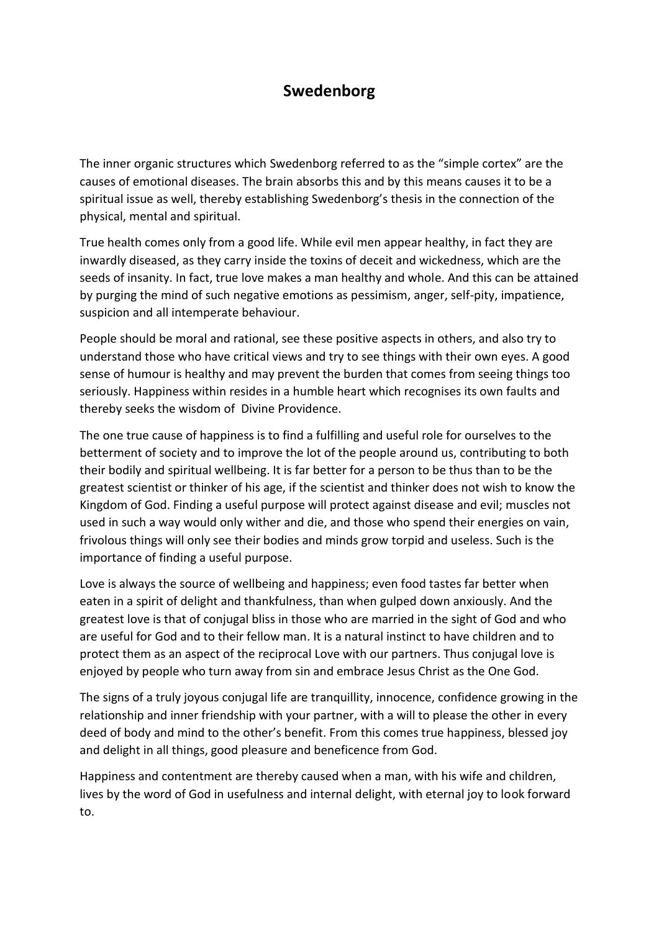## **Swedenborg**

<span id="page-33-0"></span>The inner organic structures which Swedenborg referred to as the "simple cortex" are the causes of emotional diseases. The brain absorbs this and by this means causes it to be a spiritual issue as well, thereby establishing Swedenborg's thesis in the connection of the physical, mental and spiritual.

True health comes only from a good life. While evil men appear healthy, in fact they are inwardly diseased, as they carry inside the toxins of deceit and wickedness, which are the seeds of insanity. In fact, true love makes a man healthy and whole. And this can be attained by purging the mind of such negative emotions as pessimism, anger, self-pity, impatience, suspicion and all intemperate behaviour.

People should be moral and rational, see these positive aspects in others, and also try to understand those who have critical views and try to see things with their own eyes. A good sense of humour is healthy and may prevent the burden that comes from seeing things too seriously. Happiness within resides in a humble heart which recognises its own faults and thereby seeks the wisdom of Divine Providence.

The one true cause of happiness is to find a fulfilling and useful role for ourselves to the betterment of society and to improve the lot of the people around us, contributing to both their bodily and spiritual wellbeing. It is far better for a person to be thus than to be the greatest scientist or thinker of his age, if the scientist and thinker does not wish to know the Kingdom of God. Finding a useful purpose will protect against disease and evil; muscles not used in such a way would only wither and die, and those who spend their energies on vain, frivolous things will only see their bodies and minds grow torpid and useless. Such is the importance of finding a useful purpose.

Love is always the source of wellbeing and happiness; even food tastes far better when eaten in a spirit of delight and thankfulness, than when gulped down anxiously. And the greatest love is that of conjugal bliss in those who are married in the sight of God and who are useful for God and to their fellow man. It is a natural instinct to have children and to protect them as an aspect of the reciprocal Love with our partners. Thus conjugal love is enjoyed by people who turn away from sin and embrace Jesus Christ as the One God.

The signs of a truly joyous conjugal life are tranquillity, innocence, confidence growing in the relationship and inner friendship with your partner, with a will to please the other in every deed of body and mind to the other's benefit. From this comes true happiness, blessed joy and delight in all things, good pleasure and beneficence from God.

Happiness and contentment are thereby caused when a man, with his wife and children, lives by the word of God in usefulness and internal delight, with eternal joy to look forward to.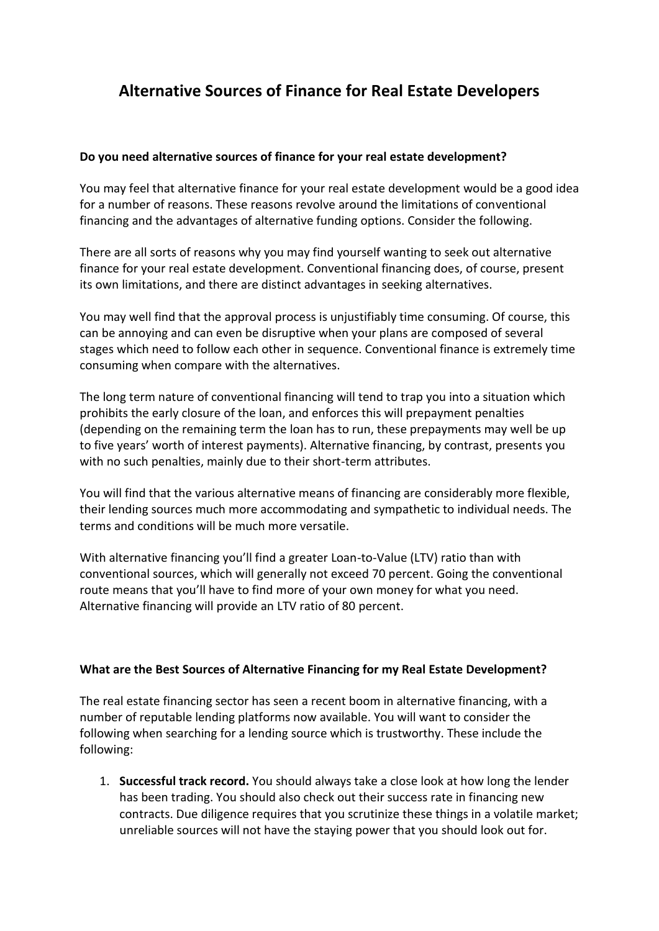## <span id="page-34-0"></span>**Alternative Sources of Finance for Real Estate Developers**

#### **Do you need alternative sources of finance for your real estate development?**

You may feel that [alternative finance for your real estate development](https://www.sharestates.com/blog/5-real-estate-investment-financing-alternatives-bank-loans) would be a good idea for a number of reasons. These reasons revolve around the limitations of conventional financing and the advantages of alternative funding options. Consider the following.

There are all sorts of reasons why you may find yourself wanting to seek out alternative finance for your real estate development. Conventional financing does, of course, present its own limitations, and there are distinct advantages in seeking alternatives.

You may well find that the approval process is unjustifiably time consuming. Of course, this can be annoying and can even be disruptive when your plans are composed of several stages which need to follow each other in sequence. Conventional finance is extremely time consuming when compare with the alternatives.

The long term nature of conventional financing will tend to trap you into a situation which prohibits the early closure of the loan, and enforces this will prepayment penalties (depending on the remaining term the loan has to run, these prepayments may well be up to five years' worth of interest payments). Alternative financing, by contrast, presents you with no such penalties, mainly due to their short-term attributes.

You will find that the various alternative means of financing are considerably more flexible, their lending sources much more accommodating and sympathetic to individual needs. The terms and conditions will be much more versatile.

With alternative financing you'll find a greater Loan-to-Value (LTV) ratio than with conventional sources, which will generally not exceed 70 percent. Going the conventional route means that you'll have to find more of your own money for what you need. Alternative financing will provide an LTV ratio of 80 percent.

#### **What are the Best Sources of Alternative Financing for my Real Estate Development?**

The real estate financing sector has seen a recent boom in alternative financing, with a number of reputable lending platforms now available. You will want to consider the following when searching for a lending source which is trustworthy. These include the following:

1. **Successful track record.** You should always take a close look at how long the lender has been trading. You should also check out their success rate in financing new contracts. Due diligence requires that you scrutinize these things in a volatile market; unreliable sources will not have the staying power that you should look out for.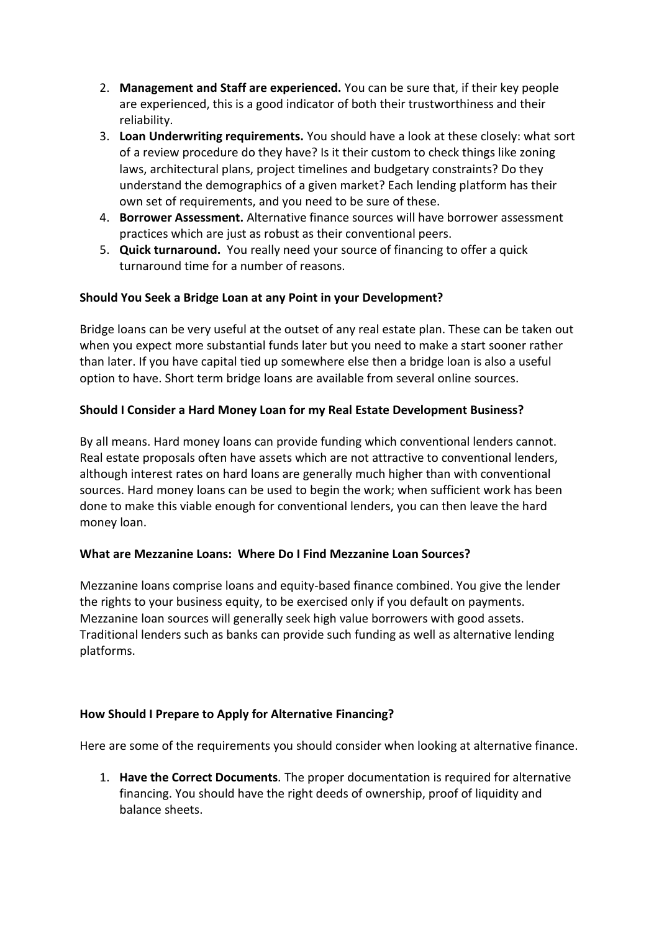- 2. **Management and Staff are experienced.** You can be sure that, if their key people are experienced, this is a good indicator of both their trustworthiness and their reliability.
- 3. **Loan Underwriting requirements.** You should have a look at these closely: what sort of a review procedure do they have? Is it their custom to check things like zoning laws, architectural plans, project timelines and budgetary constraints? Do they understand the demographics of a given market? Each lending platform has their own set of requirements, and you need to be sure of these.
- 4. **Borrower Assessment.** Alternative finance sources will have borrower assessment practices which are just as robust as their conventional peers.
- 5. **Quick turnaround.** You really need your source of financing to offer a quick turnaround time for a number of reasons.

#### **Should You Seek a Bridge Loan at any Point in your Development?**

Bridge loans can be very useful at the outset of any real estate plan. These can be taken out when you expect more substantial funds later but you need to make a start sooner rather than later. If you have capital tied up somewhere else then a bridge loan is also a useful option to have. Short term bridge loans are available from several online sources.

#### **Should I Consider a Hard Money Loan for my Real Estate Development Business?**

By all means. Hard money loans can provide funding which conventional lenders cannot. Real estate proposals often have assets which are not attractive to conventional lenders, although interest rates on hard loans are generally much higher than with conventional sources. Hard money loans can be used to begin the work; when sufficient work has been done to make this viable enough for conventional lenders, you can then leave the hard money loan.

#### **What are Mezzanine Loans: Where Do I Find Mezzanine Loan Sources?**

Mezzanine loans comprise loans and equity-based finance combined. You give the lender the rights to your business equity, to be exercised only if you default on payments. Mezzanine loan sources will generally seek high value borrowers with good assets. Traditional lenders such as banks can provide such funding as well as alternative lending platforms.

#### **How Should I Prepare to Apply for Alternative Financing?**

Here are some of the requirements you should consider when looking at alternative finance.

1. **Have the Correct Documents***.* The proper documentation is required for alternative financing. You should have the right deeds of ownership, proof of liquidity and balance sheets.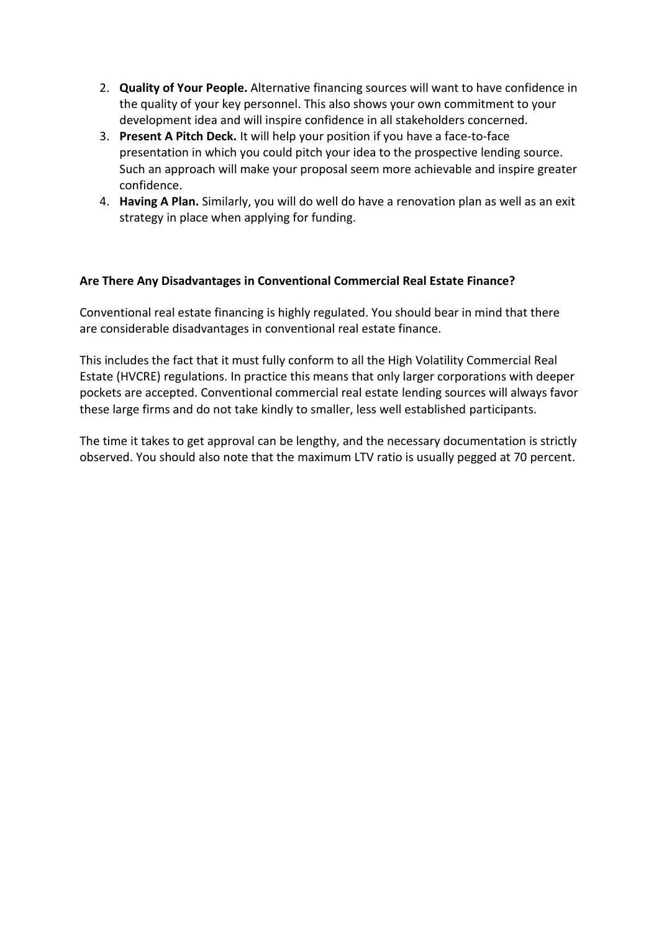- 2. **Quality of Your People.** Alternative financing sources will want to have confidence in the quality of your key personnel. This also shows your own commitment to your development idea and will inspire confidence in all stakeholders concerned.
- 3. **Present A Pitch Deck.** It will help your position if you have a face-to-face presentation in which you could pitch your idea to the prospective lending source. Such an approach will make your proposal seem more achievable and inspire greater confidence.
- 4. **Having A Plan.** Similarly, you will do well do have a renovation plan as well as an exit strategy in place when applying for funding.

#### **Are There Any Disadvantages in Conventional Commercial Real Estate Finance?**

Conventional real estate financing is highly regulated. You should bear in mind that there are considerable disadvantages in conventional real estate finance.

This includes the fact that it must fully conform to all the High Volatility Commercial Real Estate (HVCRE) regulations. In practice this means that only larger corporations with deeper pockets are accepted. Conventional commercial real estate lending sources will always favor these large firms and do not take kindly to smaller, less well established participants.

The time it takes to get approval can be lengthy, and the necessary documentation is strictly observed. You should also note that the maximum LTV ratio is usually pegged at 70 percent.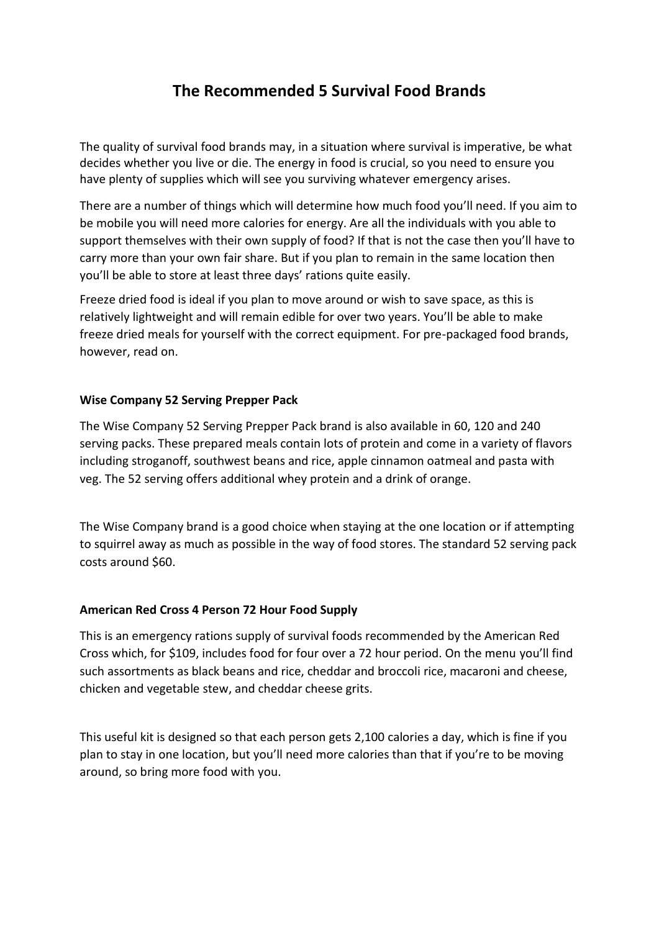## **The Recommended 5 Survival Food Brands**

<span id="page-37-0"></span>The quality of survival food brands may, in a situation where survival is imperative, be what decides whether you live or die. The energy in food is crucial, so you need to ensure you have plenty of supplies which will see you surviving whatever emergency arises.

There are a number of things which will determine how much food you'll need. If you aim to be mobile you will need more calories for energy. Are all the individuals with you able to support themselves with their own supply of food? If that is not the case then you'll have to carry more than your own fair share. But if you plan to remain in the same location then you'll be able to store at least three days' rations quite easily.

Freeze dried food is ideal if you plan to move around or wish to save space, as this is relatively lightweight and will remain edible for over two years. You'll be able to make freeze dried meals for yourself with the correct equipment. For pre-packaged food brands, however, read on.

#### **Wise Company 52 Serving Prepper Pack**

The Wise Company 52 Serving Prepper Pack brand is also available in 60, 120 and 240 serving packs. These prepared meals contain lots of protein and come in a variety of flavors including stroganoff, southwest beans and rice, apple cinnamon oatmeal and pasta with veg. The 52 serving offers additional whey protein and a drink of orange.

The Wise Company brand is a good choice when staying at the one location or if attempting to squirrel away as much as possible in the way of food stores. The standard 52 serving pack costs around \$60.

#### **American Red Cross 4 Person 72 Hour Food Supply**

This is an emergency rations supply of survival foods recommended by the American Red Cross which, for \$109, includes food for four over a 72 hour period. On the menu you'll find such assortments as black beans and rice, cheddar and broccoli rice, macaroni and cheese, chicken and vegetable stew, and cheddar cheese grits.

This useful kit is designed so that each person gets 2,100 calories a day, which is fine if you plan to stay in one location, but you'll need more calories than that if you're to be moving around, so bring more food with you.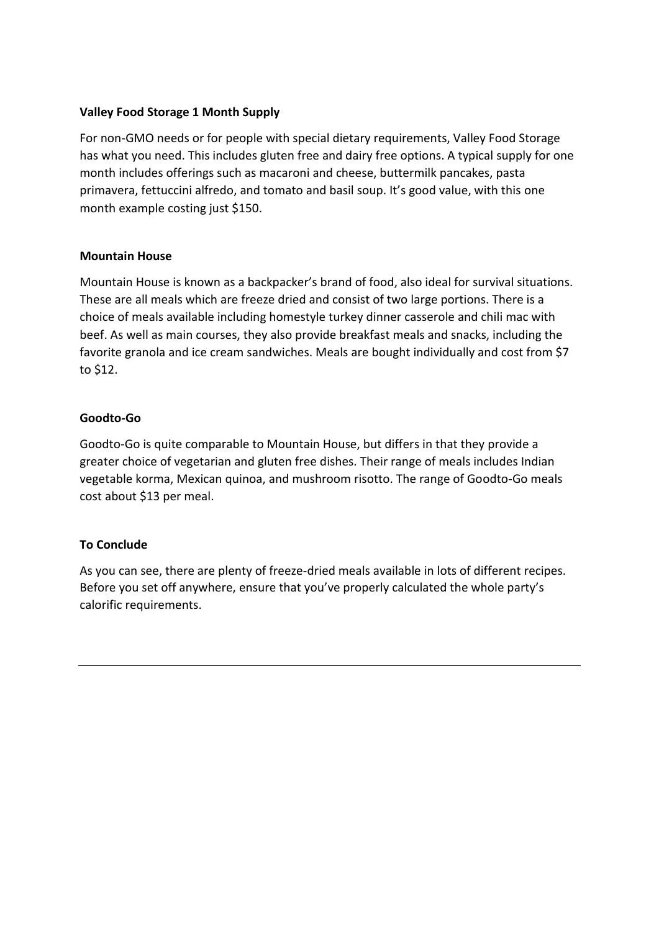#### **Valley Food Storage 1 Month Supply**

For non-GMO needs or for people with special dietary requirements, Valley Food Storage has what you need. This includes gluten free and dairy free options. A typical supply for one month includes offerings such as macaroni and cheese, buttermilk pancakes, pasta primavera, fettuccini alfredo, and tomato and basil soup. It's good value, with this one month example costing just \$150.

#### **Mountain House**

Mountain House is known as a backpacker's brand of food, also ideal for survival situations. These are all meals which are freeze dried and consist of two large portions. There is a choice of meals available including homestyle turkey dinner casserole and chili mac with beef. As well as main courses, they also provide breakfast meals and snacks, including the favorite granola and ice cream sandwiches. Meals are bought individually and cost from \$7 to \$12.

#### **Goodto-Go**

Goodto-Go is quite comparable to Mountain House, but differs in that they provide a greater choice of vegetarian and gluten free dishes. Their range of meals includes Indian vegetable korma, Mexican quinoa, and mushroom risotto. The range of Goodto-Go meals cost about \$13 per meal.

#### **To Conclude**

As you can see, there are plenty of freeze-dried meals available in lots of different recipes. Before you set off anywhere, ensure that you've properly calculated the whole party's calorific requirements.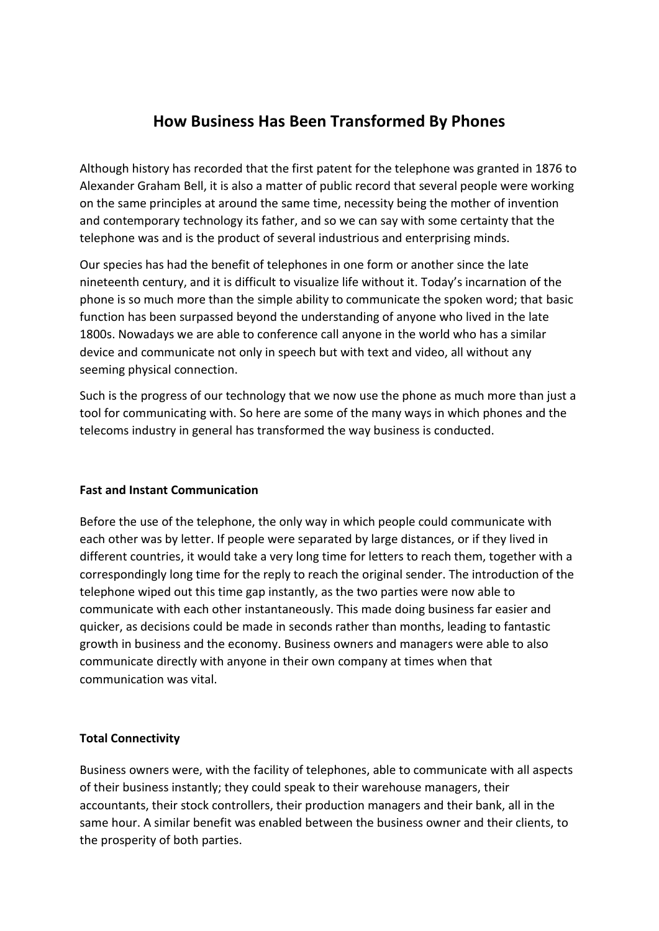## **How Business Has Been Transformed By Phones**

<span id="page-39-0"></span>Although history has recorded that the first patent for the telephone was granted in 1876 to Alexander Graham Bell, it is also a matter of public record that several people were working on the same principles at around the same time, necessity being the mother of invention and contemporary technology its father, and so we can say with some certainty that the telephone was and is the product of several industrious and enterprising minds.

Our species has had the benefit of telephones in one form or another since the late nineteenth century, and it is difficult to visualize life without it. Today's incarnation of the phone is so much more than the simple ability to communicate the spoken word; that basic function has been surpassed beyond the understanding of anyone who lived in the late 1800s. Nowadays we are able to conference call anyone in the world who has a similar device and communicate not only in speech but with text and video, all without any seeming physical connection.

Such is the progress of our technology that we now use the phone as much more than just a tool for communicating with. So here are some of the many ways in which phones and the telecoms industry in general has transformed the way business is conducted.

#### **Fast and Instant Communication**

Before the use of the telephone, the only way in which people could communicate with each other was by letter. If people were separated by large distances, or if they lived in different countries, it would take a very long time for letters to reach them, together with a correspondingly long time for the reply to reach the original sender. The introduction of the telephone wiped out this time gap instantly, as the two parties were now able to communicate with each other instantaneously. This made doing business far easier and quicker, as decisions could be made in seconds rather than months, leading to fantastic growth in business and the economy. Business owners and managers were able to also communicate directly with anyone in their own company at times when that communication was vital.

#### **Total Connectivity**

Business owners were, with the facility of telephones, able to communicate with all aspects of their business instantly; they could speak to their warehouse managers, their accountants, their stock controllers, their production managers and their bank, all in the same hour. A similar benefit was enabled between the business owner and their clients, to the prosperity of both parties.